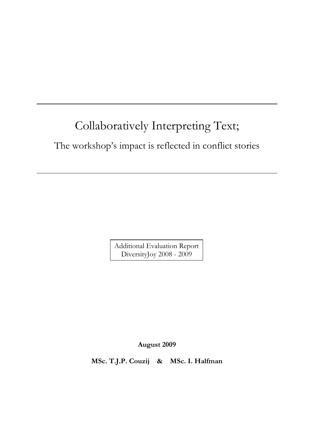# Collaboratively Interpreting Text;

The workshop's impact is reflected in conflict stories

Additional Evaluation Report DiversityJoy 2008 - 2009

**August 2009** 

**MSc. T.J.P. Couzij & MSc. I. Halfman**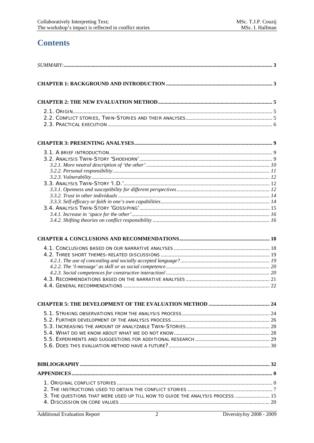## **Contents**

| 3. THE QUESTIONS THAT WERE USED UP TILL NOW TO GUIDE THE ANALYSIS PROCESS  15 |  |
|-------------------------------------------------------------------------------|--|
|                                                                               |  |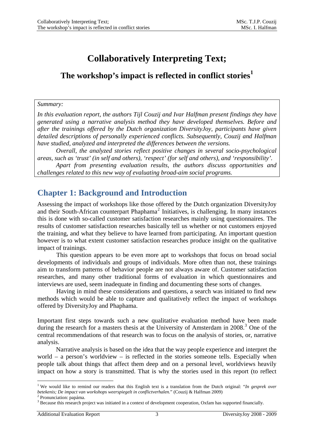## **Collaboratively Interpreting Text;**

## <span id="page-3-0"></span>**The workshop's impact is reflected in conflict stories[1](#page-3-1)**

### *Summary:*

*In this evaluation report, the authors Tijl Couzij and Ivar Halfman present findings they have generated using a narrative analysis method they have developed themselves. Before and after the trainings offered by the Dutch organization DiversityJoy, participants have given detailed descriptions of personally experienced conflicts. Subsequently, Couzij and Halfman have studied, analyzed and interpreted the differences between the versions.* 

*Overall, the analyzed stories reflect positive changes in several socio-psychological areas, such as 'trust' (in self and others), 'respect' (for self and others), and 'responsibility'.* 

*Apart from presenting evaluation results, the authors discuss opportunities and challenges related to this new way of evaluating broad-aim social programs.*

## **Chapter 1: Background and Introduction**

Assessing the impact of workshops like those offered by the Dutch organization DiversityJoy and their South-African counterpart Phaphama<sup>[2](#page-3-2)</sup> Initiatives, is challenging. In many instances this is done with so-called customer satisfaction researches mainly using questionnaires. The results of customer satisfaction researches basically tell us whether or not customers enjoyed the training, and what they believe to have learned from participating. An important question however is to what extent customer satisfaction researches produce insight on the qualitative impact of trainings.

This question appears to be even more apt to workshops that focus on broad social developments of individuals and groups of individuals. More often than not, these trainings aim to transform patterns of behavior people are not always aware of. Customer satisfaction researches, and many other traditional forms of evaluation in which questionnaires and interviews are used, seem inadequate in finding and documenting these sorts of changes.

Having in mind these considerations and questions, a search was initiated to find new methods which would be able to capture and qualitatively reflect the impact of workshops offered by DiversityJoy and Phaphama.

Important first steps towards such a new qualitative evaluation method have been made during the research for a masters thesis at the University of Amsterdam in 2008.<sup>[3](#page-3-3)</sup> One of the central recommendations of that research was to focus on the analysis of stories, or, narrative analysis.

Narrative analysis is based on the idea that the way people experience and interpret the world – a person's worldview – is reflected in the stories someone tells. Especially when people talk about things that affect them deep and on a personal level, worldviews heavily impact on how a story is transmitted. That is why the stories used in this report (to reflect

<u>.</u>

<span id="page-3-1"></span><sup>1</sup> We would like to remind our readers that this English text is a translation from the Dutch original: "*In gesprek over betekenis; De impact van workshops weerspiegelt in conflictverhalen.*" (Couzij & Halfman 2009)<br><sup>2</sup> Pronunciation: papáma.

<span id="page-3-3"></span><span id="page-3-2"></span><sup>&</sup>lt;sup>3</sup> Because this research project was initiated in a context of development cooperation, Oxfam has supported financially.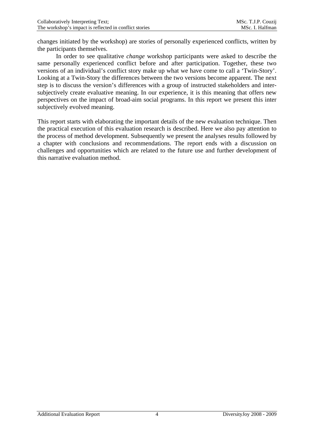changes initiated by the workshop) are stories of personally experienced conflicts, written by the participants themselves.

In order to see qualitative *change* workshop participants were asked to describe the same personally experienced conflict before and after participation. Together, these two versions of an individual's conflict story make up what we have come to call a 'Twin-Story'. Looking at a Twin-Story the differences between the two versions become apparent. The next step is to discuss the version's differences with a group of instructed stakeholders and intersubjectively create evaluative meaning. In our experience, it is this meaning that offers new perspectives on the impact of broad-aim social programs. In this report we present this inter subjectively evolved meaning.

This report starts with elaborating the important details of the new evaluation technique. Then the practical execution of this evaluation research is described. Here we also pay attention to the process of method development. Subsequently we present the analyses results followed by a chapter with conclusions and recommendations. The report ends with a discussion on challenges and opportunities which are related to the future use and further development of this narrative evaluation method.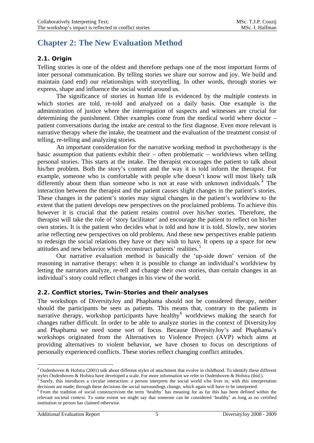## <span id="page-5-0"></span>**Chapter 2: The New Evaluation Method**

## **2.1. Origin**

Telling stories is one of the oldest and therefore perhaps one of the most important forms of inter personal communication. By telling stories we share our sorrow and joy. We build and maintain (and end) our relationships with storytelling. In other words, through stories we express, shape and influence the social world around us.

The significance of stories in human life is evidenced by the multiple contexts in which stories are told, re-told and analyzed on a daily basis. One example is the administration of justice where the interrogation of suspects and witnesses are crucial for determining the punishment. Other examples come from the medical world where doctor – patient conversations during the intake are central to the first diagnose. Even more relevant is narrative therapy where the intake, the treatment and the evaluation of the treatment consist of telling, re-telling and analyzing stories.

An important consideration for the narrative working method in psychotherapy is the basic assumption that patients exhibit their – often problematic – worldviews when telling personal stories. This starts at the intake. The therapist encourages the patient to talk about his/her problem. Both the story's content and the way it is told inform the therapist. For example, someone who is comfortable with people s/he doesn't know will most likely talk differently about them than someone who is not at ease with unknown individuals. $4$  The interaction between the therapist and the patient causes slight changes in the patient's stories. These changes in the patient's stories may signal changes in the patient's worldview to the extent that the patient develops new perspectives on the proclaimed problems. To achieve this however it is crucial that the patient retains control over his/her stories. Therefore, the therapist will take the role of 'story facilitator' and encourage the patient to reflect on his/her own stories. It is the patient who decides what is told and how it is told. Slowly, new stories arise reflecting new perspectives on old problems. And these new perspectives enable patients to redesign the social relations they have or they wish to have. It opens up a space for new attitudes and new behavior which reconstruct patients' realities.<sup>[5](#page-5-2)</sup>

Our narrative evaluation method is basically the 'up-side down' version of the reasoning in narrative therapy: when it is possible to change an individual's worldview by letting the narrators analyze, re-tell and change their own stories, than certain changes in an individual's story could reflect changes in his view of the world.

## **2.2. Conflict stories, Twin-Stories and their analyses**

The workshops of DiversityJoy and Phaphama should not be considered therapy, neither should the participants be seen as patients. This means that, contrary to the patients in narrative therapy, workshop participants have healthy<sup>[6](#page-5-3)</sup> worldviews making the search for changes rather difficult. In order to be able to analyze stories in the context of DiversityJoy and Phaphama we need some sort of focus. Because DiversityJoy's and Phaphama's workshops originated from the Alternatives to Violence Project (AVP) which aims at providing alternatives to violent behavior, we have chosen to focus on descriptions of personally experienced conflicts. These stories reflect changing conflict attitudes.

<span id="page-5-1"></span><sup>1</sup> <sup>4</sup> Oudenhoven & Hofstra (2001) talk about different styles of attachment that evolve in childhood. To identify these different styles Oudenhoven & Hofstra have developed a scale. For more information we refer to Oudenhoven & Hofstra (ibid.).<br><sup>5</sup> Surely, this introduces a circular interaction: a person interprets the social world s/he lives in; wit

<span id="page-5-2"></span>decisions are made; through these decisions the social surroundings change, which again will have to be interpreted.

<span id="page-5-3"></span> $6$  From the tradition of social constructivism the term 'healthy' has meaning for as far this has been defined within the relevant societal context. To some extent we might say that someone can be considered 'healthy' as long as no certified institution or person has claimed otherwise.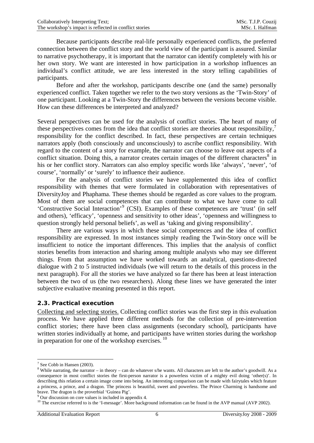<span id="page-6-0"></span>Because participants describe real-life personally experienced conflicts, the preferred connection between the conflict story and the world view of the participant is assured. Similar to narrative psychotherapy, it is important that the narrator can identify completely with his or her own story. We want are interested in how participation in a workshop influences an individual's conflict attitude, we are less interested in the story telling capabilities of participants.

Before and after the workshop, participants describe one (and the same) personally experienced conflict. Taken together we refer to the two story versions as the 'Twin-Story' of one participant. Looking at a Twin-Story the differences between the versions become visible. How can these differences be interpreted and analyzed?

Several perspectives can be used for the analysis of conflict stories. The heart of many of these perspectives comes from the idea that conflict stories are theories about responsibility, $\prime$ responsibility for the conflict described. In fact, these perspectives are certain techniques narrators apply (both consciously and unconsciously) to ascribe conflict responsibility. With regard to the content of a story for example, the narrator can choose to leave out aspects of a conflict situation. Doing this, a narrator creates certain images of the different characters<sup>[8](#page-6-2)</sup> in his or her conflict story. Narrators can also employ specific words like 'always', 'never', 'of course', 'normally' or 'surely' to influence their audience.

For the analysis of conflict stories we have supplemented this idea of conflict responsibility with themes that were formulated in collaboration with representatives of DiversityJoy and Phaphama. These themes should be regarded as core values to the program. Most of them are social competences that can contribute to what we have come to call 'Constructive Social Interaction'<sup>[9](#page-6-3)</sup> (CSI). Examples of these competences are 'trust' (in self and others), 'efficacy', 'openness and sensitivity to other ideas', 'openness and willingness to question strongly held personal beliefs', as well as 'taking and giving responsibility'.

There are various ways in which these social competences and the idea of conflict responsibility are expressed. In most instances simply reading the Twin-Story once will be insufficient to notice the important differences. This implies that the analysis of conflict stories benefits from interaction and sharing among multiple analysts who may see different things. From that assumption we have worked towards an analytical, questions-directed dialogue with 2 to 5 instructed individuals (we will return to the details of this process in the next paragraph). For all the stories we have analyzed so far there has been at least interaction between the two of us (the two researchers). Along these lines we have generated the inter subjective evaluative meaning presented in this report.

## **2.3. Practical execution**

Collecting and selecting stories. Collecting conflict stories was the first step in this evaluation process. We have applied three different methods for the collection of pre-intervention conflict stories; there have been class assignments (secondary school), participants have written stories individually at home, and participants have written stories during the workshop in preparation for one of the workshop exercises.  $^{10}$  $^{10}$  $^{10}$ 

<sup>1</sup>  $7$  See Cobb in Hansen (2003).

<span id="page-6-2"></span><span id="page-6-1"></span> $8$  While narrating, the narrator – in theory – can do whatever s/he wants. All characters are left to the author's goodwill. As a consequence in most conflict stories the first-person narrator is a powerless victim of a mighty evil doing 'other(s)'. In describing this relation a certain image come into being. An interesting comparison can be made with fairytales which feature a princess, a prince, and a dragon. The princess is beautiful, sweet and powerless. The Prince Charming is handsome and brave. The dragon is the proverbial 'Guinea Pig'.

<span id="page-6-3"></span><sup>9</sup> Our discussion on core values is included in appendix 4.

<span id="page-6-4"></span><sup>&</sup>lt;sup>10</sup> The exercise referred to is the 'I-message'. More background information can be found in the AVP manual (AVP 2002).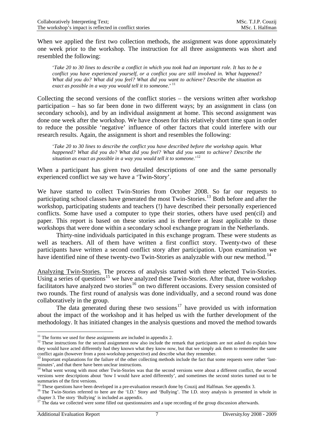When we applied the first two collection methods, the assignment was done approximately one week prior to the workshop. The instruction for all three assignments was short and resembled the following:

'*Take 20 to 30 lines to describe a conflict in which you took had an important role. It has to be a conflict you have experienced yourself, or a conflict you are still involved in. What happened? What did you do? What did you feel? What did you want to achieve? Describe the situation as exact as possible in a way you would tell it to someone.*' [11](#page-7-0)

Collecting the second versions of the conflict stories – the versions written after workshop participation – has so far been done in two different ways; by an assignment in class (on secondary schools), and by an individual assignment at home. This second assignment was done one week after the workshop. We have chosen for this relatively short time span in order to reduce the possible 'negative' influence of other factors that could interfere with our research results. Again, the assignment is short and resembles the following:

'*Take 20 to 30 lines to describe the conflict you have described before the workshop again. What happened? What did you do? What did you feel? What did you want to achieve? Describe the situation as exact as possible in a way you would tell it to someone.*' [12](#page-7-1)

When a participant has given two detailed descriptions of one and the same personally experienced conflict we say we have a 'Twin-Story'.

We have started to collect Twin-Stories from October 2008. So far our requests to participating school classes have generated the most Twin-Stories.<sup>[13](#page-7-2)</sup> Both before and after the workshop, participating students and teachers (!) have described their personally experienced conflicts. Some have used a computer to type their stories, others have used pen(cil) and paper. This report is based on these stories and is therefore at least applicable to those workshops that were done within a secondary school exchange program in the Netherlands.

Thirty-nine individuals participated in this exchange program. These were students as well as teachers. All of them have written a first conflict story. Twenty-two of these participants have written a second conflict story after participation. Upon examination we have identified nine of these twenty-two Twin-Stories as analyzable with our new method.<sup>[14](#page-7-3)</sup>

Analyzing Twin-Stories. The process of analysis started with three selected Twin-Stories. Using a series of questions<sup>[15](#page-7-4)</sup> we have analyzed these Twin-Stories. After that, three workshop facilitators have analyzed two stories<sup>[16](#page-7-5)</sup> on two different occasions. Every session consisted of two rounds. The first round of analysis was done individually, and a second round was done collaboratively in the group.

The data generated during these two sessions<sup>[17](#page-7-6)</sup> have provided us with information about the impact of the workshop and it has helped us with the further development of the methodology. It has initiated changes in the analysis questions and moved the method towards

 $11$  The forms we used for these assignments are included in appendix 2.

<span id="page-7-1"></span><span id="page-7-0"></span> $12$  These instructions for the second assignment now also include the remark that participants are not asked do explain how they would have acted differently had they known what they know now, but that we simply ask them to remember the same conflict again (however from a post-workshop perspective) and describe what they remember.<br><sup>13</sup> Important explanations for the failure of the other collecting methods include the fact that some requests were rather 'last-

<span id="page-7-2"></span>minutes', and that there have been unclear instructions.

<span id="page-7-3"></span><sup>&</sup>lt;sup>14</sup> What went wrong with most other Twin-Stories was that the second versions were about a different conflict, the second versions were descriptions about 'how I would have acted differently', and sometimes the second stories turned out to be

summaries of the first versions.<br><sup>15</sup> These questions have been developed in a pre-evaluation research done by Couzij and Halfman. See appendix 3.

<span id="page-7-5"></span><span id="page-7-4"></span><sup>&</sup>lt;sup>16</sup> The Twin-Stories referred to here are the 'I.D.' Story and 'Bullying'. The I.D. story analysis is presented in whole in chapter 3. The story 'Bullying' is included as appendix.

<span id="page-7-6"></span><sup>&</sup>lt;sup>17</sup> The data we collected were some filled out questionnaires and a tape recording of the group discussion afterwards.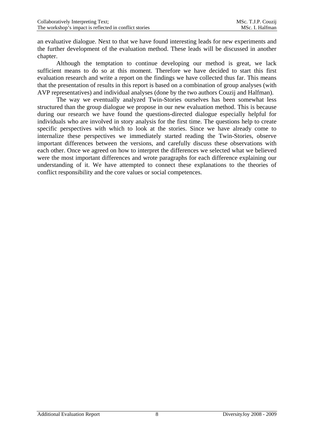an evaluative dialogue. Next to that we have found interesting leads for new experiments and the further development of the evaluation method. These leads will be discussed in another chapter.

Although the temptation to continue developing our method is great, we lack sufficient means to do so at this moment. Therefore we have decided to start this first evaluation research and write a report on the findings we have collected thus far. This means that the presentation of results in this report is based on a combination of group analyses (with AVP representatives) and individual analyses (done by the two authors Couzij and Halfman).

The way we eventually analyzed Twin-Stories ourselves has been somewhat less structured than the group dialogue we propose in our new evaluation method. This is because during our research we have found the questions-directed dialogue especially helpful for individuals who are involved in story analysis for the first time. The questions help to create specific perspectives with which to look at the stories. Since we have already come to internalize these perspectives we immediately started reading the Twin-Stories, observe important differences between the versions, and carefully discuss these observations with each other. Once we agreed on how to interpret the differences we selected what we believed were the most important differences and wrote paragraphs for each difference explaining our understanding of it. We have attempted to connect these explanations to the theories of conflict responsibility and the core values or social competences.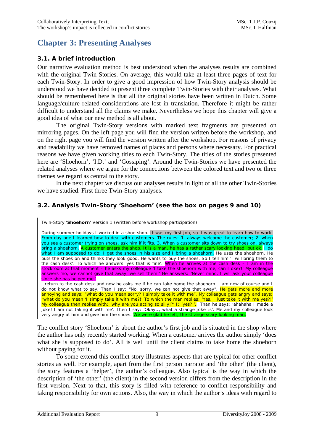## <span id="page-9-0"></span>**Chapter 3: Presenting Analyses**

## **3.1. A brief introduction**

Our narrative evaluation method is best understood when the analyses results are combined with the original Twin-Stories. On average, this would take at least three pages of text for each Twin-Story. In order to give a good impression of how Twin-Story analysis should be understood we have decided to present three complete Twin-Stories with their analyses. What should be remembered here is that all the original stories have been written in Dutch. Some language/culture related considerations are lost in translation. Therefore it might be rather difficult to understand all the claims we make. Nevertheless we hope this chapter will give a good idea of what our new method is all about.

 The original Twin-Story versions with marked text fragments are presented on mirroring pages. On the left page you will find the version written before the workshop, and on the right page you will find the version written after the workshop. For reasons of privacy and readability we have removed names of places and persons where necessary. For practical reasons we have given working titles to each Twin-Story. The titles of the stories presented here are 'Shoehorn', 'I.D.' and 'Gossiping'. Around the Twin-Stories we have presented the related analyses where we argue for the connections between the colored text and two or three themes we regard as central to the story.

In the next chapter we discuss our analyses results in light of all the other Twin-Stories we have studied. First three Twin-Story analyses.

## **3.2. Analysis Twin-Story 'Shoehorn' (see the box on pages 9 and 10)**

| Twin-Story 'Shoehorn' Version 1 (written before workshop participation)                                                                                                                                                                                                                                                                                                                                                                                                                                                                                                                                                                                                                                                                                                                                                                                                                                                                                                                                      |
|--------------------------------------------------------------------------------------------------------------------------------------------------------------------------------------------------------------------------------------------------------------------------------------------------------------------------------------------------------------------------------------------------------------------------------------------------------------------------------------------------------------------------------------------------------------------------------------------------------------------------------------------------------------------------------------------------------------------------------------------------------------------------------------------------------------------------------------------------------------------------------------------------------------------------------------------------------------------------------------------------------------|
| During summer holidays I worked in a shoe shop. It was my first job, so it was great to learn how to work.<br>From day one I learned how to deal with customers. The rules: 1. always welcome the customer; 2. when<br>you see a customer trying on shoes, ask him if it fits. 3. When a customer sits down to try shoes on, always<br>bring a shoehorn. A customer enters the shop. It is a man, he has a rather scary looking head, but ok. I do<br>what I am supposed to do: I get the shoes in his size and I bring a shoehorn. He uses the shoehorn. He<br>puts the shoes on and thinks they look good. He wants to buy the shoes. So I tell him 'I will bring them to<br>the cash desk'. To which he answers 'yes that is fine'. When he arrives at the cash desk - I am in the<br>stockroom at that moment – he asks my colleague 'I take the shoehorn with me, can I oke?!' My colleague<br>answers 'no, we cannot give that away, we sell them!' He answers: 'Never mind, I will ask your colleague |
| since she has helped me.'<br>I return to the cash desk and now he asks me if he can take home the shoehorn. I am new of course and I                                                                                                                                                                                                                                                                                                                                                                                                                                                                                                                                                                                                                                                                                                                                                                                                                                                                         |
| do not know what to say. Than I say: "No, sorry, we can not give that away". He gets more and more                                                                                                                                                                                                                                                                                                                                                                                                                                                                                                                                                                                                                                                                                                                                                                                                                                                                                                           |
| annoying and says: "what do you mean sorry? I simply take it with me". My colleague gets angry and says:<br>"what do you mean 'I simply take it with me?!' To which the man replies: 'Yes, I just take it with me yes?!'<br>My colleague then replies with: 'why are you acting so silly!?' I: 'yes?!'. Than he says: 'ahahaha I made a<br>joke! I am not taking it with me'. Then I say: 'Okay, what a strange joke :s'. Me and my colleague look<br>very angry at him and give him the shoes. We were glad he left, the strange scary looking man.                                                                                                                                                                                                                                                                                                                                                                                                                                                         |

The conflict story 'Shoehorn' is about the author's first job and is situated in the shop where the author has only recently started working. When a customer arrives the author simply 'does what she is supposed to do'. All is well until the client claims to take home the shoehorn without paying for it.

To some extend this conflict story illustrates aspects that are typical for other conflict stories as well. For example, apart from the first person narrator and 'the other' (the client), the story features a 'helper', the author's colleague. Also typical is the way in which the description of 'the other' (the client) in the second version differs from the description in the first version. Next to that, this story is filled with reference to conflict responsibility and taking responsibility for own actions. Also, the way in which the author's ideas with regard to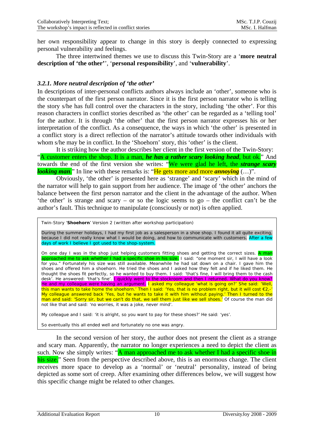<span id="page-10-0"></span>her own responsibility appear to change in this story is deeply connected to expressing personal vulnerability and feelings.

The three intertwined themes we use to discuss this Twin-Story are a '**more neutral description of 'the other'**', '**personal responsibility**', and '**vulnerability**'.

## *3.2.1. More neutral description of 'the other'*

In descriptions of inter-personal conflicts authors always include an 'other', someone who is the counterpart of the first person narrator. Since it is the first person narrator who is telling the story s/he has full control over the characters in the story, including 'the other'. For this reason characters in conflict stories described as 'the other' can be regarded as a 'telling tool' for the author. It is through 'the other' that the first person narrator expresses his or her interpretation of the conflict. As a consequence, the ways in which 'the other' is presented in a conflict story is a direct reflection of the narrator's attitude towards other individuals with whom s/he may be in conflict. In the 'Shoehorn' story, this 'other' is the client.

It is striking how the author describes her client in the first version of the Twin-Story: "A customer enters the shop. It is a man, *he has a rather scary looking head*, but ok." And towards the end of the first version she writes: "We were glad he left, the *strange scary looking man*." In line with these remarks is: "He gets more and more *annoying* (...)".

Obviously, 'the other' is presented here as 'strange' and 'scary' which in the mind of the narrator will help to gain support from her audience. The image of 'the other' anchors the balance between the first person narrator and the client in the advantage of the author. When 'the other' is strange and scary – or so the logic seems to go – the conflict can't be the author's fault. This technique to manipulate (consciously or not) is often applied.

Twin-Story '**Shoehorn**' Version 2 (written after workshop participation)

During the summer holidays, I had my first job as a salesperson in a shoe shop. I found it all quite exciting, because I did not really know what I would be doing, and how to communicate with customers. After a few days of work I believe I got used to the shop-system.

On one day I was in the shop just helping customers fitting shoes and getting the correct sizes. A man approached me to ask whether I had a specific shoe in his size. I said: "one moment sir, I will have a look for you." Fortunately his size was still available. Meanwhile he had sat down on a chair. I gave him the shoes and offered him a shoehorn. He tried the shoes and I asked how they felt and if he liked them. He thought the shoes fit perfectly, so he wanted to buy them. I said: 'that's fine, I will bring them to the cash desk'. He answered: 'that's fine'. I quickly went to the stockroom and then I returned. What do you know? He and my colleague were having an argument. I asked my colleague 'what is going on?' She said: 'Well, this man wants to take home the shoehorn.' Then I said: 'Yes, that is no problem right, but it will cost €2,-' My colleague answered back 'Yes, but he wants to take it with him without paying.' Then I turned to the man and said: 'Sorry sir, but we can't do that, we sell them just like we sell shoes.' Of course the man did not like that and said: 'no worries, it was a joke, never mind'.

My colleague and I said: 'it is alright, so you want to pay for these shoes?' He said: 'yes'.

So eventually this all ended well and fortunately no one was angry.

In the second version of her story, the author does not present the client as a strange and scary man. Apparently, the narrator no longer experiences a need to depict the client as such. Now she simply writes: "A man approached me to ask whether I had a specific shoe in his size." Seen from the perspective described above, this is an enormous change. The client receives more space to develop as a 'normal' or 'neutral' personality, instead of being depicted as some sort of creep. After examining other differences below, we will suggest how this specific change might be related to other changes.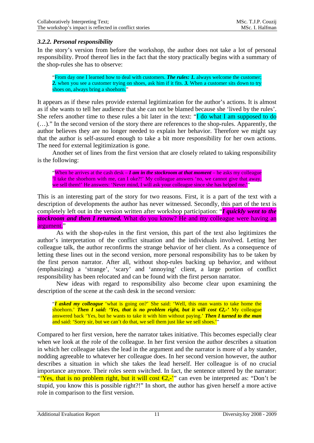## <span id="page-11-0"></span>*3.2.2. Personal responsibility*

In the story's version from before the workshop, the author does not take a lot of personal responsibility. Proof thereof lies in the fact that the story practically begins with a summary of the shop-rules she has to observe:

"From day one I learned how to deal with customers. *The rules: 1.* always welcome the customer; *2.* when you see a customer trying on shoes, ask him if it fits. *3.* When a customer sits down to try shoes on, always bring a shoehorn."

It appears as if these rules provide external legitimization for the author's actions. It is almost as if she wants to tell her audience that she can not be blamed because she 'lived by the rules'. She refers another time to these rules a bit later in the text: "I do what I am supposed to do (…)." In the second version of the story there are references to the shop-rules. Apparently, the author believes they are no longer needed to explain her behavior. Therefore we might say that the author is self-assured enough to take a bit more responsibility for her own actions. The need for external legitimization is gone.

Another set of lines from the first version that are closely related to taking responsibility is the following:

"When he arrives at the cash desk – *I am in the stockroom at that moment* – he asks my colleague 'I take the shoehorn with me, can I oke?!' My colleague answers 'no, we cannot give that away, we sell them!' He answers: 'Never mind, I will ask your colleague since she has helped me.'"

This is an interesting part of the story for two reasons. First, it is a part of the text with a description of developments the author has never witnessed. Secondly, this part of the text is completely left out in the version written after workshop participation: "*I quickly went to the stockroom and then I returned.* What do you know? He and my colleague were having an argument."

As with the shop-rules in the first version, this part of the text also legitimizes the author's interpretation of the conflict situation and the individuals involved. Letting her colleague talk, the author reconfirms the strange behavior of her client. As a consequence of letting these lines out in the second version, more personal responsibility has to be taken by the first person narrator. After all, without shop-rules backing up behavior, and without (emphasizing) a 'strange', 'scary' and 'annoying' client, a large portion of conflict responsibility has been relocated and can be found with the first person narrator.

New ideas with regard to responsibility also become clear upon examining the description of the scene at the cash desk in the second version:

"*I asked my colleague* 'what is going on?' She said: 'Well, this man wants to take home the shoehorn.' *Then I said: 'Yes, that is no problem right, but it will cost*  $\epsilon_2$ .' My colleague answered back 'Yes, but he wants to take it with him without paying.' *Then I turned to the man* and said: 'Sorry sir, but we can't do that, we sell them just like we sell shoes.'"

Compared to her first version, here the narrator takes initiative. This becomes especially clear when we look at the role of the colleague. In her first version the author describes a situation in which her colleague takes the lead in the argument and the narrator is more of a by stander, nodding agreeable to whatever her colleague does. In her second version however, the author describes a situation in which she takes the lead herself. Her colleague is of no crucial importance anymore. Their roles seem switched. In fact, the sentence uttered by the narrator: "Yes, that is no problem right, but it will cost  $\bigoplus$ ,-" can even be interpreted as: "Don't be stupid, you know this is possible right?!" In short, the author has given herself a more active role in comparison to the first version.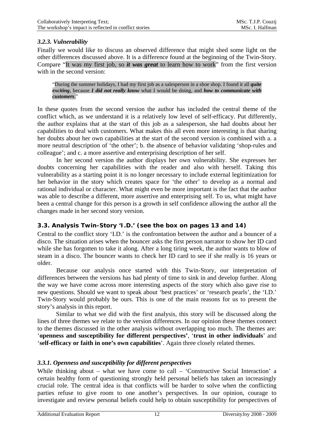## <span id="page-12-0"></span>*3.2.3. Vulnerability*

Finally we would like to discuss an observed difference that might shed some light on the other differences discussed above. It is a difference found at the beginning of the Twin-Story. Compare "It was my first job, so *it was great* to learn how to work" from the first version with in the second version:

"During the summer holidays, I had my first job as a salesperson in a shoe shop. I found it all *quite exciting*, because *I did not really know* what I would be doing, and *how to communicate with customers*."

In these quotes from the second version the author has included the central theme of the conflict which, as we understand it is a relatively low level of self-efficacy. Put differently, the author explains that at the start of this job as a salesperson, she had doubts about her capabilities to deal with customers. What makes this all even more interesting is that sharing her doubts about her own capabilities at the start of the second version is combined with a. a more neutral description of 'the other'; b. the absence of behavior validating 'shop-rules and colleague'; and c. a more assertive and enterprising description of her self.

In her second version the author displays her own vulnerability. She expresses her doubts concerning her capabilities with the reader and also with herself. Taking this vulnerability as a starting point it is no longer necessary to include external legitimization for her behavior in the story which creates space for 'the other' to develop as a normal and rational individual or character. What might even be more important is the fact that the author was able to describe a different, more assertive and enterprising self. To us, what might have been a central change for this person is a growth in self confidence allowing the author all the changes made in her second story version.

## **3.3. Analysis Twin-Story 'I.D.' (see the box on pages 13 and 14)**

Central to the conflict story 'I.D.' is the confrontation between the author and a bouncer of a disco. The situation arises when the bouncer asks the first person narrator to show her ID card while she has forgotten to take it along. After a long tiring week, the author wants to blow of steam in a disco. The bouncer wants to check her ID card to see if she really is 16 years or older.

Because our analysis once started with this Twin-Story, our interpretation of differences between the versions has had plenty of time to sink in and develop further. Along the way we have come across more interesting aspects of the story which also gave rise to new questions. Should we want to speak about 'best practices' or 'research pearls', the 'I.D.' Twin-Story would probably be ours. This is one of the main reasons for us to present the story's analysis in this report.

Similar to what we did with the first analysis, this story will be discussed along the lines of three themes we relate to the version differences. In our opinion these themes connect to the themes discussed in the other analysis without overlapping too much. The themes are: '**openness and susceptibility for different perspectives'**, '**trust in other individuals**' and '**self-efficacy or faith in one's own capabilities**'. Again three closely related themes.

## *3.3.1. Openness and susceptibility for different perspectives*

While thinking about – what we have come to call – 'Constructive Social Interaction' a certain healthy form of questioning strongly held personal beliefs has taken an increasingly crucial role. The central idea is that conflicts will be harder to solve when the conflicting parties refuse to give room to one another's perspectives. In our opinion, courage to investigate and review personal beliefs could help to obtain susceptibility for perspectives of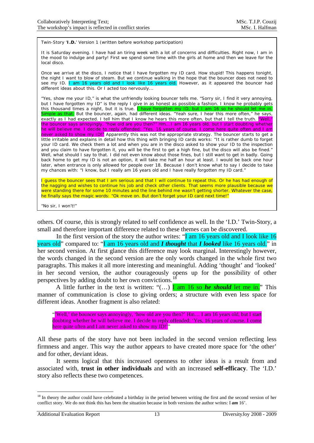Twin-Story '**I.D.**' Version 1 (written before workshop participation)

It is Saturday evening. I have had an tiring week with a lot of concerns and difficulties. Right now, I am in the mood to indulge and party! First we spend some time with the girls at home and then we leave for the local disco.

Once we arrive at the disco, I notice that I have forgotten my ID card. How stupid! This happens tonight, the night I want to blow of steam. But we continue walking in the hope that the bouncer does not need to see my ID. I am 16 years old and I look like 16 years old. However, as it appeared the bouncer had different ideas about this. Or I acted too nervously...

"Yes, show me your ID," is what the unfriendly looking bouncer tells me. "Sorry sir, I find it very annoying, but I have forgotten my ID" is the reply I give in as honest as possible a fashion. I know he probably gets this thousand times a night, but it is true. I have forgotten my ID, but I am 16 so he should let me in. Simple as that. But the bouncer, again, had different ideas. "Yeah sure, I hear this more often," he says, exactly as I had expected. I tell him that I know he hears this more often, but that I tell the truth. "Well," the bouncer says annoyingly, "how old are you then?" Hm… I am 16 years old, but I start doubting whether he will believe me. I decide to reply offended: "Yes, 16 years of course. I come here quite often and I am never asked to show my ID!" Apparently this was not the appropriate strategy. The bouncer starts to get a little irritable and explains in detail how this thing with bringing ID cards works: "It is rather dumb to forget your ID card. We check them a lot and when you are in the disco asked to show your ID to the inspection and you claim to have forgotten it, you will be the first to get a high fine, but the disco will also be fined." Well, what should I say to that. I did not even know about those fines, but I still want to get in badly. Going back home to get my ID is not an option, it will take me half an hour at least. I would be back one hour later, when entrance is only allowed for people over 18. Because I don't know what to say I decide to take my chances with: "I know, but I really am 16 years old and I have really forgotten my ID card."

I guess the bouncer sees that I am serious and that I will continue to repeat this. Or he has had enough of the nagging and wishes to continue his job and check other clients. That seems more plausible because we were standing there for some 10 minutes and the line behind me wasn't getting shorter. Whatever the case, he finally says the magic words: "Ok move on. But don't forget your ID card next time!"

"No sir, I won't!"

others. Of course, this is strongly related to self confidence as well. In the 'I.D.' Twin-Story, a small and therefore important difference related to these themes can be discovered.

In the first version of the story the author writes: "I am 16 years old and I look like 16 years old" compared to: "I am 16 years old and *I thought* that *I looked* like 16 years old." in her second version. At first glance this difference may look marginal. Interestingly however, the words changed in the second version are the only words changed in the whole first two paragraphs. This makes it all more interesting and meaningful. Adding 'thought' and 'looked' in her second version, the author courageously opens up for the possibility of other perspectives by adding doubt to her own convictions.<sup>[18](#page-13-0)</sup>

A little further in the text is written: " $(...)$  **I** am 16 so **he should** let me in." This manner of communication is close to giving orders; a structure with even less space for different ideas. Another fragment is also related:

"'Well,' the bouncer says annoyingly, 'how old are you then?' Hm… I am 16 years old, but I start doubting whether he will believe me. I decide to reply offended: 'Yes, 16 years of course. I come here quite often and I am never asked to show my ID!"

All these parts of the story have not been included in the second version reflecting less firmness and anger. This way the author appears to have created more space for 'the other' and for other, deviant ideas.

It seems logical that this increased openness to other ideas is a result from and associated with, **trust in other individuals** and with an increased **self-efficacy**. The 'I.D.' story also reflects these two competences.

1

<span id="page-13-0"></span><sup>&</sup>lt;sup>18</sup> In theory the author could have celebrated a birthday in the period between writing the first and the second version of her conflict story. We do not think this has been the situation because in both versions the author writes: I *am* 16'.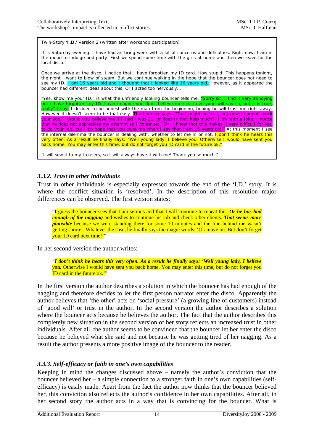<span id="page-14-0"></span>Twin-Story '**I.D.**' Version 2 (written after workshop participation)

It is Saturday evening. I have had an tiring week with a lot of concerns and difficulties. Right now, I am in the mood to indulge and party! First we spend some time with the girls at home and then we leave for the local disco.

Once we arrive at the disco, I notice that I have forgotten my ID card. How stupid! This happens tonight, the night I want to blow of steam. But we continue walking in the hope that the bouncer does not need to see my ID. I am 16 years old and I thought that I looked like 16 years old. However, as it appeared the bouncer had different ideas about this. Or I acted too nervously...

"Yes, show me your ID," is what the unfriendly looking bouncer tells me. "Sorry sir, I find it very annoying but I have forgotten my ID. I can imagine you don't believe me since everyone will say so, but it is true, really" I say. I decided to be honest with the man from the beginning, hoping he will trust me right away. However it doesn't seem to be that easy. The bouncer says: "That might be true, but now I cannot check your age." "Would you believe me if I said I was 21, or doesn't that help much?" I try with a joke. I notice that he does not appreciate my attempt so I continue: "Sir, I know that this makes it very difficult for you to do your job, but I do hope that you trust me when I say that I am 16 years old." At this moment I see the internal dilemma the bouncer is dealing with; whether to let me in or not. I don't think he hears this very often. As a result he finally says: "Well young lady, I believe you. Otherwise I would have sent you back home. You may enter this time, but do not forget you ID card in the future ok."

"I will sew it to my trousers, so I will always have it with me! Thank you so much."

## *3.3.2. Trust in other individuals*

Trust in other individuals is especially expressed towards the end of the 'I.D.' story. It is where the conflict situation is 'resolved'. In the description of this resolution major differences can be observed. The first version states:

"I guess the bouncer sees that I am serious and that I will continue to repeat this. *Or he has had enough of the nagging* and wishes to continue his job and check other clients. *That seems more plausible* because we were standing there for some 10 minutes and the line behind me wasn't getting shorter. Whatever the case, he finally says the magic words: 'Ok move on. But don't forget your ID card next time!"

In her second version the author writes:

"*I don't think he hears this very often. As a result he finally says: 'Well young lady, I believe you.* Otherwise I would have sent you back home. You may enter this time, but do not forget you ID card in the future ok.'"

In the first version the author describes a solution in which the bouncer has had enough of the nagging and therefore decides to let the first person narrator enter the disco. Apparently the author believes that 'the other' acts on 'social pressure' (a growing line of customers) instead of 'good will' or trust in the author. In the second version the author describes a solution where the bouncer acts because he believes the author. The fact that the author describes this completely new situation in the second version of her story reflects an increased trust in other individuals. After all, the author seems to be convinced that the bouncer let her enter the disco because he believed what she said and not because he was getting tired of her nagging. As a result the author presents a more positive image of the bouncer to the reader.

## *3.3.3. Self-efficacy or faith in one's own capabilities*

Keeping in mind the changes discussed above – namely the author's conviction that the bouncer believed her – a simple connection to a stronger faith in one's own capabilities (selfefficacy) is easily made. Apart from the fact the author now thinks that the bouncer believed her, this conviction also reflects the author's confidence in her own capabilities. After all, in her second story the author acts in a way that is convincing for the bouncer. What is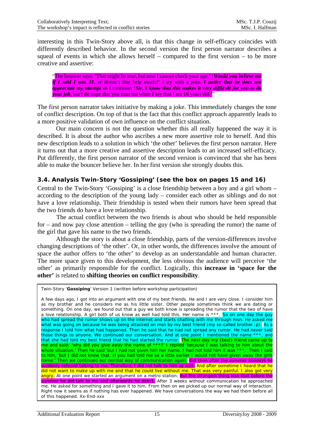<span id="page-15-0"></span>interesting in this Twin-Story above all, is that this change in self-efficacy coincides with differently described behavior. In the second version the first person narrator describes a squeal of events in which she allows herself – compared to the first version – to be more creative and assertive:

"The bouncer says: 'That might be true, but now I cannot check your age.' '*Would you believe me if I said I was 21*, or doesn't that help much?' I try with a joke. *I notice that he does not appreciate my attempt* so I continue: '*Sir, I know that this makes it very difficult for you to do your job*, but I do hope that you trust me when I say that I am 16 years old.<sup>"</sup>

The first person narrator takes initiative by making a joke. This immediately changes the tone of conflict description. On top of that is the fact that this conflict approach apparently leads to a more positive validation of own influence on the conflict situation.

Our main concern is not the question whether this all really happened the way it is described. It is about the author who ascribes a new more assertive role to herself. And this new description leads to a solution in which 'the other' believes the first person narrator. Here it turns out that a more creative and assertive description leads to an increased self-efficacy. Put differently, the first person narrator of the second version is convinced that she has been able to make the bouncer believe her. In her first version she strongly doubts this.

## **3.4. Analysis Twin-Story 'Gossiping' (see the box on pages 15 and 16)**

Central to the Twin-Story 'Gossiping' is a close friendship between a boy and a girl whom – according to the description of the young lady – consider each other as siblings and do not have a love relationship. Their friendship is tested when their rumors have been spread that the two friends do have a love relationship.

The actual conflict between the two friends is about who should be held responsible for – and now pay close attention – telling the guy (who is spreading the rumor) the name of the girl that gave his name to the two friends.

Although the story is about a close friendship, parts of the version-differences involve changing descriptions of 'the other'. Or, in other words, the differences involve the amount of space the author offers to 'the other' to develop as an understandable and human character. The more space given to this development, the less obvious the audience will perceive 'the other' as primarily responsible for the conflict. Logically, this **increase in 'space for the other'** is related to **shifting theories on conflict responsibility**.

Twin-Story '**Gossiping**' Version 1 (written before workshop participation)

A few days ago, I got into an argument with one of my best friends. He and I are very close. I consider him as my brother and he considers me as his little sister. Other people sometimes think we are dating or something. On one day, we found out that a guy we both know is spreading the rumor that the two of have a love relationship. A girl both of us know as well had told this. Her name is \*\*\*. So on one day the guy who had spread the rumor shows up on the internet and starts chatting with me through msn. He asked me what was going on because he was being attacked on msn by my best friend (my so-called brother :p). As a response I told him what had happened. Then he said that he had not spread any rumor. He had never said those things to anyone. We continued our conversation. And at one point I mentioned the name \*\*\*, and that she had told my best friend that he had started the rumor. The next day my (best) friend came up to me and said: 'why did you give away the name of \*\*\*?' I replied 'because I was talking to him about the whole situation.' Then he said 'but I had not given him her name. I had not told him it was \*\*\*.' Then I said to him, 'but I did not know that. If you had told me so a little earlier I would not have given away the girls name.' Then we continued our normal way of communication again. But then after the summer holidays he suddenly refused talking to me. Therefore, I did not talk to him as well. And after sometime I heard that he did not want to make up with me and that he could live without me. That was very painful. I also got very angry. At one point we started an argument on a metro station. But the strangest thing was that before the summer he did talk to me and afterwards he didn't. After 3 weeks without communication he approached me. He asked for something and I gave it to him. From then on we picked up our normal way of interaction. Right now it seems as if nothing has ever happened. We have conversations the way we had them before all of this happened. Xx-End-xxx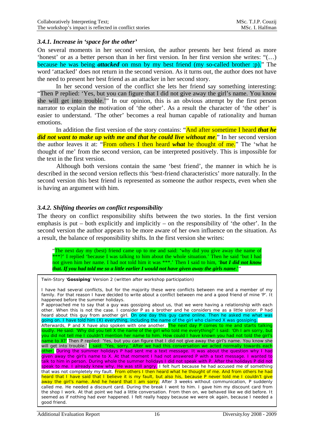## <span id="page-16-0"></span>*3.4.1. Increase in 'space for the other'*

On several moments in her second version, the author presents her best friend as more 'honest' or as a better person than in her first version. In her first version she writes: "(…) because he was being *attacked* on msn by my best friend (my so-called brother :p)." The word 'attacked' does not return in the second version. As it turns out, the author does not have the need to present her best friend as an attacker in her second story.

In her second version of the conflict she lets her friend say something interesting: "Then P replied: 'Yes, but you can figure that I did not give away the girl's name. You know she will get into trouble.'" In our opinion, this is an obvious attempt by the first person narrator to explain the motivation of 'the other'. As a result the character of 'the other' is easier to understand. 'The other' becomes a real human capable of rationality and human emotions.

In addition the first version of the story contains: "And after sometime I heard *that he did not want to make up with me and that he could live without me*." In her second version the author leaves it at: "From others I then heard *what* he thought of me." The 'what he thought of me' from the second version, can be interpreted positively. This is impossible for the text in the first version.

Although both versions contain the same 'best friend', the manner in which he is described in the second version reflects this 'best-friend characteristics' more naturally. In the second version this best friend is represented as someone the author respects, even when she is having an argument with him.

## *3.4.2. Shifting theories on conflict responsibility*

The theory on conflict responsibility shifts between the two stories. In the first version emphasis is put – both explicitly and implicitly – on the responsibility of 'the other'. In the second version the author appears to be more aware of her own influence on the situation. As a result, the balance of responsibility shifts. In the first version she writes:

"The next day my (best) friend came up to me and said: 'why did you give away the name of \*\*\*?' I replied 'because I was talking to him about the whole situation.' Then he said 'but I had not given him her name. I had not told him it was \*\*\*.' Then I said to him, '*but I did not know that. If you had told me so a little earlier I would not have given away the girls name*.'"

Twin-Story '**Gossiping**' Version 2 (written after workshop participation)

I have had several conflicts, but for the majority these were conflicts between me and a member of my family. For that reason I have decided to write about a conflict between me and a good friend of mine 'P'. It happened before the summer holidays.

P approached me to say that a guy was gossiping about us, that we were having a relationship with each other. When this is not the case. I consider P as a brother and he considers me as a little sister. P had heard about this guy from another girl. On one day this guy came online. Then he asked me what was going on. I have told him (X) everything, including the name of the girl who claimed X was gossiping. Afterwards, P and X have also spoken with one another. The next day P comes to me and starts talking loudly. He said: 'Why did you tell X the name of the girl who told me everything?' I said: 'Oh I am sorry, but you did not tell me I couldn't mention her name to him. How could I have known you had not told the girl's name to X?' Then P replied: 'Yes, but you can figure that I did not give away the girl's name. You know she will get into trouble.' I said: 'Yes, sorry.' After we had this conversation we acted normally towards each other. During the summer holidays P had sent me a text message. It was about the question why I had given away the girl's name to X. At that moment I had not answered P with a text message. I wanted to talk to him in person. During whole the summer holidays I did not speak with P. After the holidays P did not speak to me. I already knew why. He was still angry. I felt hurt because he had accused me of something that was not completely my fault. From others I then heard what he thought of me. And from others he had heard that I have said that I believe it is my fault, but also his, because P never told me I couldn't give away the girl's name. And he heard that I am sorry. After 3 weeks without communication, P suddenly called me. He needed a discount card. During the break I went to him. I gave him my discount card from the shop I work. At that point we had a little conversation. From then on, we behaved like we did before. It seemed as if nothing had ever happened. I felt really happy because we were ok again, because I needed a good friend.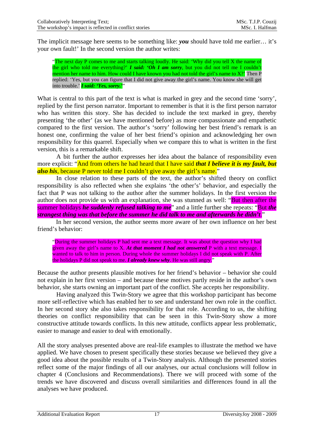The implicit message here seems to be something like: *you* should have told me earlier… it's your own fault!' In the second version the author writes:

"The next day P comes to me and starts talking loudly. He said: 'Why did you tell X the name of the girl who told me everything?' *I said: 'Oh I am sorry*, but you did not tell me I couldn't mention her name to him. How could I have known you had not told the girl's name to X?' Then P replied: 'Yes, but you can figure that I did not give away the girl's name. You know she will get into trouble.' *I said: 'Yes, sorry.'*"

What is central to this part of the text is what is marked in grey and the second time 'sorry', replied by the first person narrator. Important to remember is that it is the first person narrator who has written this story. She has decided to include the text marked in grey, thereby presenting 'the other' (as we have mentioned before) as more compassionate and empathetic compared to the first version. The author's 'sorry' following her best friend's remark is an honest one, confirming the value of her best friend's opinion and acknowledging her own responsibility for this quarrel. Especially when we compare this to what is written in the first version, this is a remarkable shift.

A bit further the author expresses her idea about the balance of responsibility even more explicit: "And from others he had heard that I have said *that I believe it is my fault, but also his*, because P never told me I couldn't give away the girl's name."

In close relation to these parts of the text, the author's shifted theory on conflict responsibility is also reflected when she explains 'the other's' behavior, and especially the fact that P was not talking to the author after the summer holidays. In the first version the author does not provide us with an explanation, she was stunned as well: "But then after the summer holidays *he suddenly refused talking to me*" and a little further she repeats: "But *the strangest thing was that before the summer he did talk to me and afterwards he didn't*."

In her second version, the author seems more aware of her own influence on her best friend's behavior:

"During the summer holidays P had sent me a text message. It was about the question why I had given away the girl's name to X. *At that moment I had not answered* P with a text message. I wanted to talk to him in person. During whole the summer holidays I did not speak with P. After the holidays P did not speak to me. *I already knew why*. He was still angry."

Because the author presents plausible motives for her friend's behavior – behavior she could not explain in her first version – and because these motives partly reside in the author's own behavior, she starts owning an important part of the conflict. She accepts her responsibility.

Having analyzed this Twin-Story we agree that this workshop participant has become more self-reflective which has enabled her to see and understand her own role in the conflict. In her second story she also takes responsibility for that role. According to us, the shifting theories on conflict responsibility that can be seen in this Twin-Story show a more constructive attitude towards conflicts. In this new attitude, conflicts appear less problematic, easier to manage and easier to deal with emotionally.

All the story analyses presented above are real-life examples to illustrate the method we have applied. We have chosen to present specifically these stories because we believed they give a good idea about the possible results of a Twin-Story analysis. Although the presented stories reflect some of the major findings of all our analyses, our actual conclusions will follow in chapter 4 (Conclusions and Recommendations). There we will proceed with some of the trends we have discovered and discuss overall similarities and differences found in all the analyses we have produced.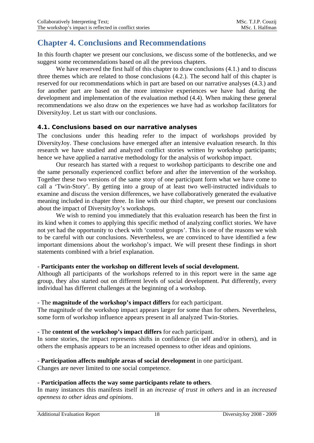## <span id="page-18-0"></span>**Chapter 4. Conclusions and Recommendations**

In this fourth chapter we present our conclusions, we discuss some of the bottlenecks, and we suggest some recommendations based on all the previous chapters.

We have reserved the first half of this chapter to draw conclusions  $(4.1)$  and to discuss three themes which are related to those conclusions (4.2.). The second half of this chapter is reserved for our recommendations which in part are based on our narrative analyses (4.3.) and for another part are based on the more intensive experiences we have had during the development and implementation of the evaluation method (4.4). When making these general recommendations we also draw on the experiences we have had as workshop facilitators for DiversityJoy. Let us start with our conclusions.

## **4.1. Conclusions based on our narrative analyses**

The conclusions under this heading refer to the impact of workshops provided by DiversityJoy. These conclusions have emerged after an intensive evaluation research. In this research we have studied and analyzed conflict stories written by workshop participants; hence we have applied a narrative methodology for the analysis of workshop impact.

Our research has started with a request to workshop participants to describe one and the same personally experienced conflict before and after the intervention of the workshop. Together these two versions of the same story of one participant form what we have come to call a 'Twin-Story'. By getting into a group of at least two well-instructed individuals to examine and discuss the version differences, we have collaboratively generated the evaluative meaning included in chapter three. In line with our third chapter, we present our conclusions about the impact of DiversityJoy's workshops.

We wish to remind you immediately that this evaluation research has been the first in its kind when it comes to applying this specific method of analyzing conflict stories. We have not yet had the opportunity to check with 'control groups'. This is one of the reasons we wish to be careful with our conclusions. Nevertheless, we are convinced to have identified a few important dimensions about the workshop's impact. We will present these findings in short statements combined with a brief explanation.

## - **Participants enter the workshop on different levels of social development.**

Although all participants of the workshops referred to in this report were in the same age group, they also started out on different levels of social development. Put differently, every individual has different challenges at the beginning of a workshop.

## - The **magnitude of the workshop's impact differs** for each participant.

The magnitude of the workshop impact appears larger for some than for others. Nevertheless, some form of workshop influence appears present in all analyzed Twin-Stories.

## - The **content of the workshop's impact differs** for each participant.

In some stories, the impact represents shifts in confidence (in self and/or in others), and in others the emphasis appears to be an increased openness to other ideas and opinions.

## - **Participation affects multiple areas of social development** in one participant.

Changes are never limited to one social competence.

## - **Participation affects the way some participants relate to others**.

In many instances this manifests itself in an *increase of trust in others* and in an *increased openness to other ideas and opinions*.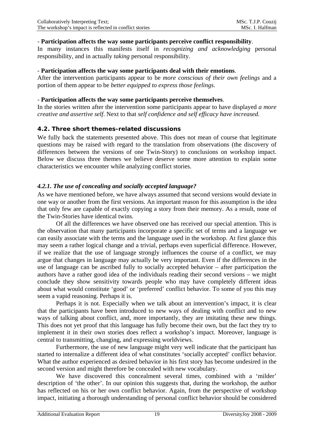## <span id="page-19-0"></span>- **Participation affects the way some participants perceive conflict responsibility**.

In many instances this manifests itself in *recognizing and acknowledging* personal responsibility, and in actually *taking* personal responsibility.

## - **Participation affects the way some participants deal with their emotions**.

After the intervention participants appear to be *more conscious of their own feelings* and a portion of them appear to be *better equipped to express those feelings*.

### - **Participation affects the way some participants perceive themselves**.

In the stories written after the intervention some participants appear to have displayed *a more creative and assertive self*. Next to that *self confidence and self efficacy have increased*.

## **4.2. Three short themes-related discussions**

We fully back the statements presented above. This does not mean of course that legitimate questions may be raised with regard to the translation from observations (the discovery of differences between the versions of one Twin-Story) to conclusions on workshop impact. Below we discuss three themes we believe deserve some more attention to explain some characteristics we encounter while analyzing conflict stories.

## *4.2.1. The use of concealing and socially accepted language?*

As we have mentioned before, we have always assumed that second versions would deviate in one way or another from the first versions. An important reason for this assumption is the idea that only few are capable of exactly copying a story from their memory. As a result, none of the Twin-Stories have identical twins.

Of all the differences we have observed one has received our special attention. This is the observation that many participants incorporate a specific set of terms and a language we can easily associate with the terms and the language used in the workshop. At first glance this may seem a rather logical change and a trivial, perhaps even superficial difference. However, if we realize that the use of language strongly influences the course of a conflict, we may argue that changes in language may actually be very important. Even if the differences in the use of language can be ascribed fully to socially accepted behavior – after participation the authors have a rather good idea of the individuals reading their second versions – we might conclude they show sensitivity towards people who may have completely different ideas about what would constitute 'good' or 'preferred' conflict behavior. To some of you this may seem a vapid reasoning. Perhaps it is.

Perhaps it is not. Especially when we talk about an intervention's impact, it is clear that the participants have been introduced to new ways of dealing with conflict and to new ways of talking about conflict, and, more importantly, they are imitating these new things. This does not yet proof that this language has fully become their own, but the fact they try to implement it in their own stories does reflect a workshop's impact. Moreover, language is central to transmitting, changing, and expressing worldviews.

Furthermore, the use of new language might very well indicate that the participant has started to internalize a different idea of what constitutes 'socially accepted' conflict behavior. What the author experienced as desired behavior in his first story has become undesired in the second version and might therefore be concealed with new vocabulary.

We have discovered this concealment several times, combined with a 'milder' description of 'the other'. In our opinion this suggests that, during the workshop, the author has reflected on his or her own conflict behavior. Again, from the perspective of workshop impact, initiating a thorough understanding of personal conflict behavior should be considered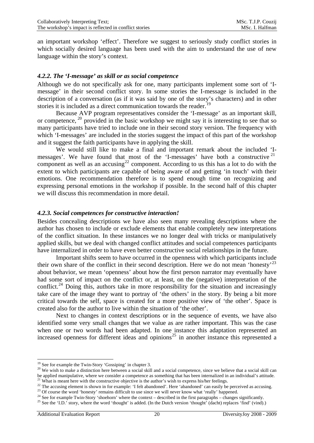<span id="page-20-0"></span>an important workshop 'effect'. Therefore we suggest to seriously study conflict stories in which socially desired language has been used with the aim to understand the use of new language within the story's context.

## *4.2.2. The 'I-message' as skill or as social competence*

Although we do not specifically ask for one, many participants implement some sort of 'Imessage' in their second conflict story. In some stories the I-message is included in the description of a conversation (as if it was said by one of the story's characters) and in other stories it is included as a direct communication towards the reader.<sup>[19](#page-20-1)</sup>

Because AVP program representatives consider the 'I-message' as an important skill, or competence,  $^{20}$  $^{20}$  $^{20}$  provided in the basic workshop we might say it is interesting to see that so many participants have tried to include one in their second story version. The frequency with which 'I-messages' are included in the stories suggest the impact of this part of the workshop and it suggest the faith participants have in applying the skill.

We would still like to make a final and important remark about the included 'I-messages'. We have found that most of the 'I-messages' have both a constructive <sup>[21](#page-20-3)</sup> component as well as an accusing<sup>[22](#page-20-4)</sup> component. According to us this has a lot to do with the extent to which participants are capable of being aware of and getting 'in touch' with their emotions. One recommendation therefore is to spend enough time on recognizing and expressing personal emotions in the workshop if possible. In the second half of this chapter we will discuss this recommendation in more detail.

## *4.2.3. Social competences for constructive interaction!*

Besides concealing descriptions we have also seen many revealing descriptions where the author has chosen to include or exclude elements that enable completely new interpretations of the conflict situation. In these instances we no longer deal with tricks or manipulatively applied skills, but we deal with changed conflict attitudes and social competences participants have internalized in order to have even better constructive social relationships in the future.

Important shifts seem to have occurred in the openness with which participants include their own share of the conflict in their second description. Here we do not mean 'honesty'[23](#page-20-5) about behavior, we mean 'openness' about how the first person narrator may eventually have had some sort of impact on the conflict or, at least, on the (negative) interpretation of the conflict.<sup>[24](#page-20-6)</sup> Doing this, authors take in more responsibility for the situation and increasingly take care of the image they want to portray of 'the others' in the story. By being a bit more critical towards the self, space is created for a more positive view of 'the other'. Space is created also for the author to live within the situation of 'the other'.

Next to changes in context descriptions or in the sequence of events, we have also identified some very small changes that we value as are rather important. This was the case when one or two words had been adapted. In one instance this adaptation represented an increased openness for different ideas and opinions<sup>[25](#page-20-7)</sup> in another instance this represented a

1

<sup>&</sup>lt;sup>19</sup> See for example the Twin-Story 'Gossiping' in chapter 3.

<span id="page-20-2"></span><span id="page-20-1"></span><sup>&</sup>lt;sup>20</sup> We wish to make a distinction here between a social skill and a social competence, since we believe that a social skill can be applied manipulative, where we consider a competence as something that has been internalized in an individual's attitude.<br><sup>21</sup> What is meant here with the constructive objective is the author's wish to express his/her f

<span id="page-20-5"></span><span id="page-20-4"></span><span id="page-20-3"></span><sup>&</sup>lt;sup>22</sup> The accusing element is shown in for example: 'I felt abandoned'. Here 'abandoned' can easily be perceived as accusing.<br><sup>23</sup> Of course the word 'honesty' remains difficult to use since we will never know what 'really

<span id="page-20-7"></span><span id="page-20-6"></span>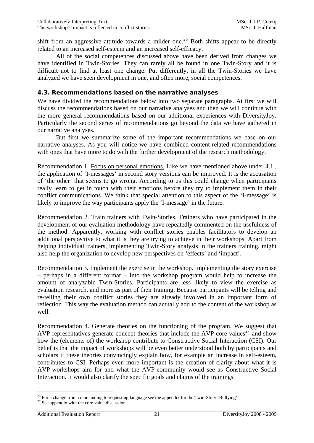<span id="page-21-0"></span>shift from an aggressive attitude towards a milder one.<sup>[26](#page-21-1)</sup> Both shifts appear to be directly related to an increased self-esteem and an increased self-efficacy.

All of the social competences discussed above have been derived from changes we have identified in Twin-Stories. They can rarely all be found in one Twin-Story and it is difficult not to find at least one change. Put differently, in all the Twin-Stories we have analyzed we have seen development in one, and often more, social competences.

## **4.3. Recommendations based on the narrative analyses**

We have divided the recommendations below into two separate paragraphs. At first we will discuss the recommendations based on our narrative analyses and then we will continue with the more general recommendations based on our additional experiences with DiversityJoy. Particularly the second series of recommendations go beyond the data we have gathered in our narrative analyses.

But first we summarize some of the important recommendations we base on our narrative analyses. As you will notice we have combined content-related recommendations with ones that have more to do with the further development of the research methodology.

Recommendation 1. Focus on personal emotions. Like we have mentioned above under 4.1., the application of 'I-messages' in second story versions can be improved. It is the accusation of 'the other' that seems to go wrong. According to us this could change when participants really learn to get in touch with their emotions before they try to implement them in their conflict communications. We think that special attention to this aspect of the 'I-message' is likely to improve the way participants apply the 'I-message' in the future.

Recommendation 2. Train trainers with Twin-Stories. Trainers who have participated in the development of our evaluation methodology have repeatedly commented on the usefulness of the method. Apparently, working with conflict stories enables facilitators to develop an additional perspective to what it is they are trying to achieve in their workshops. Apart from helping individual trainers, implementing Twin-Story analysis in the trainers training, might also help the organization to develop new perspectives on 'effects' and 'impact'.

Recommendation 3. Implement the exercise in the workshop. Implementing the story exercise – perhaps in a different format – into the workshop program would help to increase the amount of analyzable Twin-Stories. Participants are less likely to view the exercise as evaluation research, and more as part of their training. Because participants will be telling and re-telling their own conflict stories they are already involved in an important form of reflection. This way the evaluation method can actually add to the content of the workshop as well.

Recommendation 4. Generate theories on the functioning of the program. We suggest that AVP-representatives generate concept theories that include the  $AVP\text{-core values}^{27}$  $AVP\text{-core values}^{27}$  $AVP\text{-core values}^{27}$  and show how the (elements of) the workshop contribute to Constructive Social Interaction (CSI). Our belief is that the impact of workshops will be even better understood both by participants and scholars if these theories convincingly explain how, for example an increase in self-esteem, contributes to CSI. Perhaps even more important is the creation of clarity about what it is AVP-workshops aim for and what the AVP-community would see as Constructive Social Interaction. It would also clarify the specific goals and claims of the trainings.

1

<span id="page-21-1"></span><sup>&</sup>lt;sup>26</sup> For a change from commanding to requesting language see the appendix for the Twin-Story 'Bullying'. <sup>27</sup> See appendix with the core value discussion.

<span id="page-21-2"></span>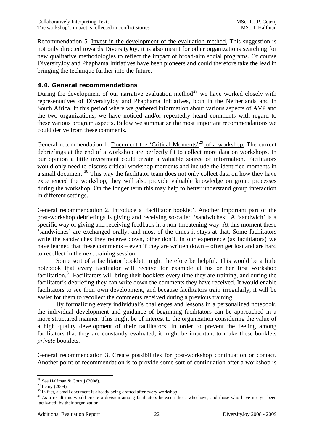<span id="page-22-0"></span>Recommendation 5. Invest in the development of the evaluation method. This suggestion is not only directed towards DiversityJoy, it is also meant for other organizations searching for new qualitative methodologies to reflect the impact of broad-aim social programs. Of course DiversityJoy and Phaphama Initiatives have been pioneers and could therefore take the lead in bringing the technique further into the future.

## **4.4. General recommendations**

During the development of our narrative evaluation method<sup>[28](#page-22-1)</sup> we have worked closely with representatives of DiversityJoy and Phaphama Initiatives, both in the Netherlands and in South Africa. In this period where we gathered information about various aspects of AVP and the two organizations, we have noticed and/or repeatedly heard comments with regard to these various program aspects. Below we summarize the most important recommendations we could derive from these comments.

General recommendation 1. Document the 'Critical Moments'<sup>[29](#page-22-2)</sup> of a workshop. The current debriefings at the end of a workshop are perfectly fit to collect more data on workshops. In our opinion a little investment could create a valuable source of information. Facilitators would only need to discuss critical workshop moments and include the identified moments in a small document.<sup>[30](#page-22-3)</sup> This way the facilitator team does not only collect data on how they have experienced the workshop, they will also provide valuable knowledge on group processes during the workshop. On the longer term this may help to better understand group interaction in different settings.

General recommendation 2. Introduce a 'facilitator booklet'. Another important part of the post-workshop debriefings is giving and receiving so-called 'sandwiches'. A 'sandwich' is a specific way of giving and receiving feedback in a non-threatening way. At this moment these 'sandwiches' are exchanged orally, and most of the times it stays at that. Some facilitators write the sandwiches they receive down, other don't. In our experience (as facilitators) we have learned that these comments – even if they are written down – often get lost and are hard to recollect in the next training session.

Some sort of a facilitator booklet, might therefore be helpful. This would be a little notebook that every facilitator will receive for example at his or her first workshop facilitation.<sup>[31](#page-22-4)</sup> Facilitators will bring their booklets every time they are training, and during the facilitator's debriefing they can write down the comments they have received. It would enable facilitators to see their own development, and because facilitators train irregularly, it will be easier for them to recollect the comments received during a previous training.

 By formalizing every individual's challenges and lessons in a personalized notebook, the individual development and guidance of beginning facilitators can be approached in a more structured manner. This might be of interest to the organization considering the value of a high quality development of their facilitators. In order to prevent the feeling among facilitators that they are constantly evaluated, it might be important to make these booklets *private* booklets.

General recommendation 3. Create possibilities for post-workshop continuation or contact. Another point of recommendation is to provide some sort of continuation after a workshop is

<sup>1</sup>  $28$  See Halfman & Couzij (2008).

<span id="page-22-2"></span><span id="page-22-1"></span> $^{29}$  Leary (2004).<br><sup>30</sup> In fact, a small document is already being drafted after every workshop

<span id="page-22-4"></span><span id="page-22-3"></span> $31$  As a result this would create a division among facilitators between those who have, and those who have not yet been 'activated' by their organization.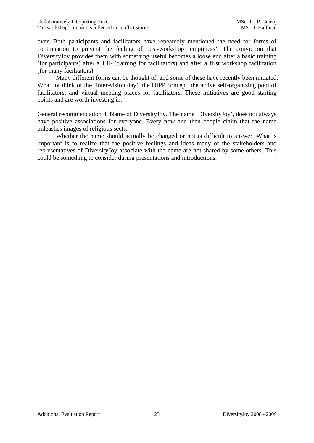over. Both participants and facilitators have repeatedly mentioned the need for forms of continuation to prevent the feeling of post-workshop 'emptiness'. The conviction that DiversityJoy provides them with something useful becomes a loose end after a basic training (for participants) after a T4F (training for facilitators) and after a first workshop facilitation (for many facilitators).

Many different forms can be thought of, and some of these have recently been initiated. What tot think of the 'inter-vision day', the HIPP concept, the active self-organizing pool of facilitators, and virtual meeting places for facilitators. These initiatives are good starting points and are worth investing in.

General recommendation 4. Name of DiversityJoy. The name 'DiversityJoy', does not always have positive associations for everyone. Every now and then people claim that the name unleashes images of religious sects.

Whether the name should actually be changed or not is difficult to answer. What is important is to realize that the positive feelings and ideas many of the stakeholders and representatives of DiversityJoy associate with the name are not shared by some others. This could be something to consider during presentations and introductions.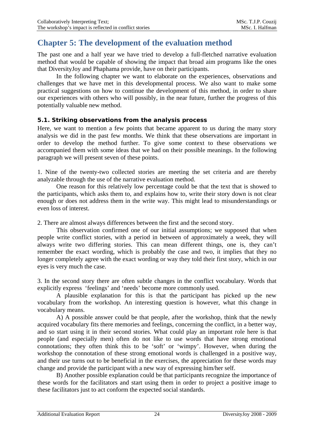## <span id="page-24-0"></span>**Chapter 5: The development of the evaluation method**

The past one and a half year we have tried to develop a full-fletched narrative evaluation method that would be capable of showing the impact that broad aim programs like the ones that DiversityJoy and Phaphama provide, have on their participants.

In the following chapter we want to elaborate on the experiences, observations and challenges that we have met in this developmental process. We also want to make some practical suggestions on how to continue the development of this method, in order to share our experiences with others who will possibly, in the near future, further the progress of this potentially valuable new method.

## **5.1. Striking observations from the analysis process**

Here, we want to mention a few points that became apparent to us during the many story analysis we did in the past few months. We think that these observations are important in order to develop the method further. To give some context to these observations we accompanied them with some ideas that we had on their possible meanings. In the following paragraph we will present seven of these points.

1. Nine of the twenty-two collected stories are meeting the set criteria and are thereby analyzable through the use of the narrative evaluation method.

One reason for this relatively low percentage could be that the text that is showed to the participants, which asks them to, and explains how to, write their story down is not clear enough or does not address them in the write way. This might lead to misunderstandings or even loss of interest.

2. There are almost always differences between the first and the second story.

This observation confirmed one of our initial assumptions; we supposed that when people write conflict stories, with a period in between of approximately a week, they will always write two differing stories. This can mean different things, one is, they can't remember the exact wording, which is probably the case and two, it implies that they no longer completely agree with the exact wording or way they told their first story, which in our eyes is very much the case.

3. In the second story there are often subtle changes in the conflict vocabulary. Words that explicitly express 'feelings' and 'needs' become more commonly used.

A plausible explanation for this is that the participant has picked up the new vocabulary from the workshop. An interesting question is however, what this change in vocabulary means.

A) A possible answer could be that people, after the workshop, think that the newly acquired vocabulary fits there memories and feelings, concerning the conflict, in a better way, and so start using it in their second stories. What could play an important role here is that people (and especially men) often do not like to use words that have strong emotional connotations; they often think this to be 'soft' or 'wimpy'. However, when during the workshop the connotation of these strong emotional words is challenged in a positive way, and their use turns out to be beneficial in the exercises, the appreciation for these words may change and provide the participant with a new way of expressing him/her self.

B) Another possible explanation could be that participants recognize the importance of these words for the facilitators and start using them in order to project a positive image to these facilitators just to act conform the expected social standards.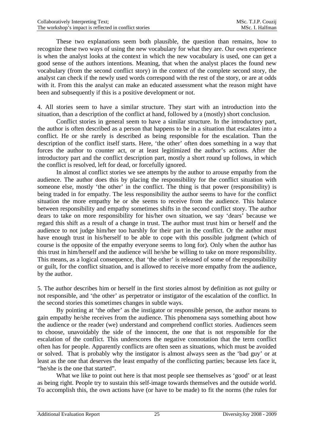These two explanations seem both plausible, the question than remains, how to recognize these two ways of using the new vocabulary for what they are. Our own experience is when the analyst looks at the context in which the new vocabulary is used, one can get a good sense of the authors intentions. Meaning, that when the analyst places the found new vocabulary (from the second conflict story) in the context of the complete second story, the analyst can check if the newly used words correspond with the rest of the story, or are at odds with it. From this the analyst can make an educated assessment what the reason might have been and subsequently if this is a positive development or not.

4. All stories seem to have a similar structure. They start with an introduction into the situation, than a description of the conflict at hand, followed by a (mostly) short conclusion.

Conflict stories in general seem to have a similar structure. In the introductory part, the author is often described as a person that happens to be in a situation that escalates into a conflict. He or she rarely is described as being responsible for the escalation. Than the description of the conflict itself starts. Here, 'the other' often does something in a way that forces the author to counter act, or at least legitimized the author's actions. After the introductory part and the conflict description part, mostly a short round up follows, in which the conflict is resolved, left for dead, or forcefully ignored.

In almost al conflict stories we see attempts by the author to arouse empathy from the audience. The author does this by placing the responsibility for the conflict situation with someone else, mostly 'the other' in the conflict. The thing is that power (responsibility) is being traded in for empathy. The less responsibility the author seems to have for the conflict situation the more empathy he or she seems to receive from the audience. This balance between responsibility and empathy sometimes shifts in the second conflict story. The author dears to take on more responsibility for his/her own situation, we say 'dears' because we regard this shift as a result of a change in trust. The author must trust him or herself and the audience to not judge him/her too harshly for their part in the conflict. Or the author must have enough trust in his/herself to be able to cope with this possible judgment (which of course is the opposite of the empathy everyone seems to long for). Only when the author has this trust in him/herself and the audience will he/she be willing to take on more responsibility. This means, as a logical consequence, that 'the other' is released of some of the responsibility or guilt, for the conflict situation, and is allowed to receive more empathy from the audience, by the author.

5. The author describes him or herself in the first stories almost by definition as not guilty or not responsible, and 'the other' as perpetrator or instigator of the escalation of the conflict. In the second stories this sometimes changes in subtle ways.

By pointing at 'the other' as the instigator or responsible person, the author means to gain empathy he/she receives from the audience. This phenomena says something about how the audience or the reader (we) understand and comprehend conflict stories. Audiences seem to choose, unavoidably the side of the innocent, the one that is not responsible for the escalation of the conflict. This underscores the negative connotation that the term conflict often has for people. Apparently conflicts are often seen as situations, which must be avoided or solved. That is probably why the instigator is almost always seen as the 'bad guy' or at least as the one that deserves the least empathy of the conflicting parties; because lets face it, "he/she is the one that started".

What we like to point out here is that most people see themselves as 'good' or at least as being right. People try to sustain this self-image towards themselves and the outside world. To accomplish this, the own actions have (or have to be made) to fit the norms (the rules for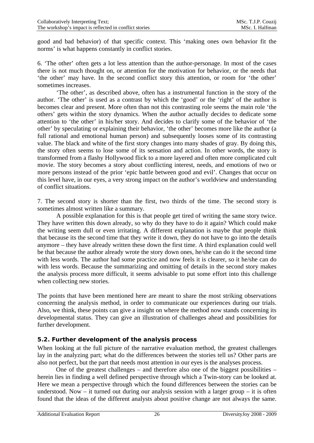<span id="page-26-0"></span>good and bad behavior) of that specific context. This 'making ones own behavior fit the norms' is what happens constantly in conflict stories.

6. 'The other' often gets a lot less attention than the author-personage. In most of the cases there is not much thought on, or attention for the motivation for behavior, or the needs that 'the other' may have. In the second conflict story this attention, or room for 'the other' sometimes increases.

'The other', as described above, often has a instrumental function in the story of the author. 'The other' is used as a contrast by which the 'good' or the 'right' of the author is becomes clear and present. More often than not this contrasting role seems the main role 'the others' gets within the story dynamics. When the author actually decides to dedicate some attention to 'the other' in his/her story. And decides to clarify some of the behavior of 'the other' by speculating or explaining their behavior, 'the other' becomes more like the author (a full rational and emotional human person) and subsequently looses some of its contrasting value. The black and white of the first story changes into many shades of gray. By doing this, the story often seems to lose some of its sensation and action. In other words, the story is transformed from a flashy Hollywood flick to a more layered and often more complicated cult movie. The story becomes a story about conflicting interest, needs, and emotions of two or more persons instead of the prior 'epic battle between good and evil'. Changes that occur on this level have, in our eyes, a very strong impact on the author's worldview and understanding of conflict situations.

7. The second story is shorter than the first, two thirds of the time. The second story is sometimes almost written like a summary.

A possible explanation for this is that people get tired of writing the same story twice. They have written this down already, so why do they have to do it again? Which could make the writing seem dull or even irritating. A different explanation is maybe that people think that because its the second time that they write it down, they do not have to go into the details anymore – they have already written these down the first time. A third explanation could well be that because the author already wrote the story down ones, he/she can do it the second time with less words. The author had some practice and now feels it is clearer, so it he/she can do with less words. Because the summarizing and omitting of details in the second story makes the analysis process more difficult, it seems advisable to put some effort into this challenge when collecting new stories.

The points that have been mentioned here are meant to share the most striking observations concerning the analysis method, in order to communicate our experiences during our trials. Also, we think, these points can give a insight on where the method now stands concerning its developmental status. They can give an illustration of challenges ahead and possibilities for further development.

## **5.2. Further development of the analysis process**

When looking at the full picture of the narrative evaluation method, the greatest challenges lay in the analyzing part; what do the differences between the stories tell us? Other parts are also not perfect, but the part that needs most attention in our eyes is the analyses process.

One of the greatest challenges – and therefore also one of the biggest possibilities – herein lies in finding a well defined perspective through which a Twin-story can be looked at. Here we mean a perspective through which the found differences between the stories can be understood. Now – it turned out during our analysis session with a larger group – it is often found that the ideas of the different analysts about positive change are not always the same.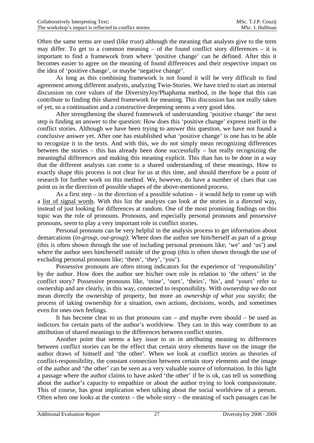Often the same terms are used (like *trust*) although the meaning that analysts give to the term may differ. To get to a common meaning – of the found conflict story differences – it is important to find a framework from where 'positive change' can be defined. After this it becomes easier to agree on the meaning of found differences and their respective impact on the idea of 'positive change', or maybe 'negative change'.

As long as this combining framework is not found it will be very difficult to find agreement among different analysts, analyzing Twin-Stories. We have tried to start an internal discussion on core values of the DiversityJoy/Phaphama method, in the hope that this can contribute to finding this shared framework for meaning. This discussion has not really taken of yet, so a continuation and a constructive deepening seems a very good idea.

After strengthening the shared framework of understanding 'positive change' the next step is finding an answer to the question: How does this 'positive change' express itself in the conflict stories. Although we have been trying to answer this question, we have not found a conclusive answer yet. After one has established what 'positive change' is one has to be able to recognize it in the texts. And with this, we do not simply mean recognizing differences between the stories – this has already been done successfully – but really recognizing the meaningful differences and making this meaning explicit. This than has to be done in a way that the different analysts can come to a shared understanding of these meanings. How to exactly shape this process is not clear for us at this time, and should therefore be a point of research for further work on this method. We, however, do have a number of clues that can point us in the direction of possible shapes of the above-mentioned process.

As a first step – in the direction of a possible solution – it would help to come up with a list of signal words. With this list the analysts can look at the stories in a directed way, instead of just looking for differences at random. One of the most promising findings on this topic was the role of pronouns. Pronouns, and especially personal pronouns and possessive pronouns, seem to play a very important role in conflict stories.

Personal pronouns can be very helpful in the analysis process to get information about demarcations (*in-group, out-group)*: Where does the author see him/herself as part of a group (this is often shown through the use of including personal pronouns like; 'we' and 'us') and where the author sees him/herself outside of the group (this is often shown through the use of excluding personal pronouns like; 'them', 'they', 'you').

Possessive pronouns are often strong indicators for the experience of 'responsibility' by the author. How does the author see his/her own role in relation to 'the others' in the conflict story? Possessive pronouns like, 'mine', 'ours', 'theirs', 'his', and 'yours' refer to ownership and are clearly, in this way, connected to responsibility. With ownership we do not mean directly the ownership of property, but more an *ownership of what you say/do*; the process of taking ownership for a situation, own actions, decisions, words, and sometimes even for ones own feelings.

It has become clear to us that pronouns can – and maybe even should – be used as indictors for certain parts of the author's worldview. They can in this way contribute to an attribution of shared meanings to the differences between conflict stories.

Another point that seems a key issue to us in attributing meaning to differences between conflict stories can be the effect that certain story elements have on the image the author draws of himself and 'the other'. When we look at conflict stories as theories of conflict-responsibility, the constant connection between certain story elements and the image of the author and 'the other' can be seen as a very valuable source of information. In this light a passage where the author claims to have asked 'the other' if he is ok, can tell us something about the author's capacity to empathize or about the author trying to look compassionate. This of course, has great implication when talking about the social worldview of a person. Often when one looks at the context – the whole story – the meaning of such passages can be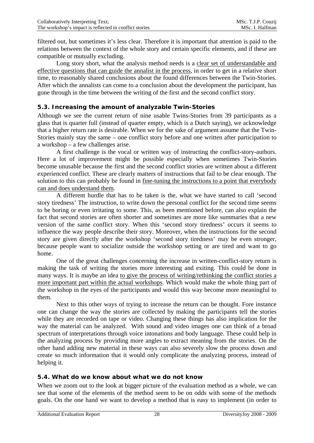<span id="page-28-0"></span>filtered out, but sometimes it's less clear. Therefore it is important that attention is paid to the relations between the context of the whole story and certain specific elements, and if these are compatible or mutually excluding.

Long story short, what the analysis method needs is a clear set of understandable and effective questions that can guide the annalist in the process, in order to get in a relative short time, to reasonably shared conclusions about the found differences between the Twin-Stories. After which the annalists can come to a conclusion about the development the participant, has gone through in the time between the writing of the first and the second conflict story.

## **5.3. Increasing the amount of analyzable Twin-Stories**

Although we see the current return of nine usable Twins-Stories from 39 participants as a glass that is quarter full (instead of quarter empty, which is a Dutch saying), we acknowledge that a higher return rate is desirable. When we for the sake of argument assume that the Twin-Stories mainly stay the same – one conflict story before and one written after participation to a workshop – a few challenges arise.

A first challenge is the vocal or written way of instructing the conflict-story-authors. Here a lot of improvement might be possible especially when sometimes Twin-Stories become unusable because the first and the second conflict stories are written about a different experienced conflict. These are clearly matters of instructions that fail to be clear enough. The solution to this can probably be found in fine-tuning the instructions to a point that everybody can and does understand them.

A different hurdle that has to be taken is the, what we have started to call 'second story tiredness' The instruction, to write down the personal conflict for the second time seems to be boring or even irritating to some. This, as been mentioned before, can also explain the fact that second stories are often shorter and sometimes are more like summaries that a new version of the same conflict story. When this 'second story tiredness' occurs it seems to influence the way people describe their story. Moreover, when the instructions for the second story are given directly after the workshop 'second story tiredness' may be even stronger, because people want to socialize outside the workshop setting or are tired and want to go home.

One of the great challenges concerning the increase in written-conflict-story return is making the task of writing the stories more interesting and exiting. This could be done in many ways. It is maybe an idea to give the process of writing/rethinking the conflict stories a more important part within the actual workshops. Which would make the whole thing part of the workshop in the eyes of the participants and would this way become more meaningful to them.

Next to this other ways of trying to increase the return can be thought. Fore instance one can change the way the stories are collected by making the participants tell the stories while they are recorded on tape or video. Changing these things has also implication for the way the material can be analyzed. With sound and video images one can think of a broad spectrum of interpretations through voice intonations and body language. These could help in the analyzing process by providing more angles to extract meaning from the stories. On the other hand adding new material in these ways can also severely slow the process down and create so much information that it would only complicate the analyzing process, instead of helping it.

## **5.4. What do we know about what we do not know**

When we zoom out to the look at bigger picture of the evaluation method as a whole, we can see that some of the elements of the method seem to be on odds with some of the methods goals. On the one hand we want to develop a method that is easy to implement (in order to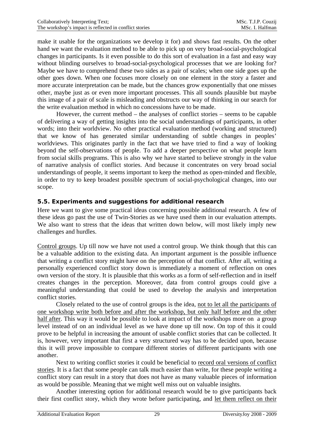<span id="page-29-0"></span>make it usable for the organizations we develop it for) and shows fast results. On the other hand we want the evaluation method to be able to pick up on very broad-social-psychological changes in participants. Is it even possible to do this sort of evaluation in a fast and easy way without blinding ourselves to broad-social-psychological processes that we are looking for? Maybe we have to comprehend these two sides as a pair of scales; when one side goes up the other goes down. When one focuses more closely on one element in the story a faster and more accurate interpretation can be made, but the chances grow exponentially that one misses other, maybe just as or even more important processes. This all sounds plausible but maybe this image of a pair of scale is misleading and obstructs our way of thinking in our search for the write evaluation method in which no concessions have to be made.

However, the current method – the analyses of conflict stories – seems to be capable of delivering a way of getting insights into the social understandings of participants, in other words; into their worldview. No other practical evaluation method (working and structured) that we know of has generated similar understanding of subtle changes in peoples' worldviews. This originates partly in the fact that we have tried to find a way of looking beyond the self-observations of people. To add a deeper perspective on what people learn from social skills programs. This is also why we have started to believe strongly in the value of narrative analysis of conflict stories. And because it concentrates on very broad social understandings of people, it seems important to keep the method as open-minded and flexible, in order to try to keep broadest possible spectrum of social-psychological changes, into our scope.

## **5.5. Experiments and suggestions for additional research**

Here we want to give some practical ideas concerning possible additional research. A few of these ideas go past the use of Twin-Stories as we have used them in our evaluation attempts. We also want to stress that the ideas that written down below, will most likely imply new challenges and hurdles.

Control groups. Up till now we have not used a control group. We think though that this can be a valuable addition to the existing data. An important argument is the possible influence that writing a conflict story might have on the perception of that conflict. After all, writing a personally experienced conflict story down is immediately a moment of reflection on ones own version of the story. It is plausible that this works as a form of self-reflection and in itself creates changes in the perception. Moreover, data from control groups could give a meaningful understanding that could be used to develop the analysis and interpretation conflict stories.

Closely related to the use of control groups is the idea, not to let all the participants of one workshop write both before and after the workshop, but only half before and the other half after. This way it would be possible to look at impact of the workshops more on a group level instead of on an individual level as we have done up till now. On top of this it could prove to be helpful in increasing the amount of usable conflict stories that can be collected. It is, however, very important that first a very structured way has to be decided upon, because this it will prove impossible to compare different stories of different participants with one another.

Next to writing conflict stories it could be beneficial to record oral versions of conflict stories. It is a fact that some people can talk much easier than write, for these people writing a conflict story can result in a story that does not have as many valuable pieces of information as would be possible. Meaning that we might well miss out on valuable insights.

Another interesting option for additional research would be to give participants back their first conflict story, which they wrote before participating, and let them reflect on their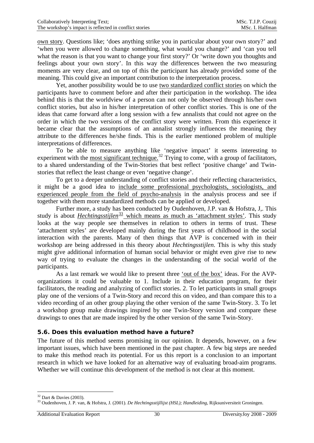<span id="page-30-0"></span>own story. Questions like; 'does anything strike you in particular about your own story?' and 'when you were allowed to change something, what would you change?' and 'can you tell what the reason is that you want to change your first story?' Or 'write down you thoughts and feelings about your own story'. In this way the differences between the two measuring moments are very clear, and on top of this the participant has already provided some of the meaning. This could give an important contribution to the interpretation process.

Yet, another possibility would be to use two standardized conflict stories on which the participants have to comment before and after their participation in the workshop. The idea behind this is that the worldview of a person can not only be observed through his/her own conflict stories, but also in his/her interpretation of other conflict stories. This is one of the ideas that came forward after a long session with a few annalists that could not agree on the order in which the two versions of the conflict story were written. From this experience it became clear that the assumptions of an annalist strongly influences the meaning they attribute to the differences he/she finds. This is the earlier mentioned problem of multiple interpretations of differences.

To be able to measure anything like 'negative impact' it seems interesting to experiment with the most significant technique.<sup>[32](#page-30-1)</sup> Trying to come, with a group of facilitators, to a shared understanding of the Twin-Stories that best reflect 'positive change' and Twinstories that reflect the least change or even 'negative change'.

To get to a deeper understanding of conflict stories and their reflecting characteristics, it might be a good idea to include some professional psychologists, sociologists, and experienced people from the field of psycho-analysis in the analysis process and see if together with them more standardized methods can be applied or developed.

Further more, a study has been conducted by Oudenhoven, J.P. van & Hofstra, J,. This study is about *Hechtingsstijlen*<sup>[33](#page-30-2)</sup> which means as much as 'attachment styles'. This study looks at the way people see themselves in relation to others in terms of trust. These 'attachment styles' are developed mainly during the first years of childhood in the social interaction with the parents. Many of then things that AVP is concerned with in their workshop are being addressed in this theory about *Hechtingsstijlen*. This is why this study might give additional information of human social behavior or might even give rise to new way of trying to evaluate the changes in the understanding of the social world of the participants.

As a last remark we would like to present three 'out of the box' ideas. For the AVPorganizations it could be valuable to 1. Include in their education program, for their facilitators, the reading and analyzing of conflict stories. 2. To let participants in small groups play one of the versions of a Twin-Story and record this on video, and than compare this to a video recording of an other group playing the other version of the same Twin-Story. 3. To let a workshop group make drawings inspired by one Twin-Story version and compare these drawings to ones that are made inspired by the other version of the same Twin-Story.

## **5.6. Does this evaluation method have a future?**

The future of this method seems promising in our opinion. It depends, however, on a few important issues, which have been mentioned in the past chapter. A few big steps are needed to make this method reach its potential. For us this report is a conclusion to an important research in which we have looked for an alternative way of evaluating broad-aim programs. Whether we will continue this development of the method is not clear at this moment.

<sup>1</sup>  $32$  Dart & Davies (2003).

<span id="page-30-2"></span><span id="page-30-1"></span><sup>33</sup> Oudenhoven, J. P. van, & Hofstra, J. (2001). *De Hechtingsstijllijst (HSL); Handleiding,* Rijksuniversiteit Groningen.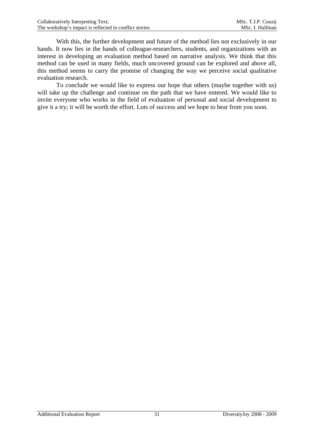With this, the further development and future of the method lies not exclusively in our hands. It now lies in the hands of colleague-researchers, students, and organizations with an interest in developing an evaluation method based on narrative analysis. We think that this method can be used in many fields, much uncovered ground can be explored and above all, this method seems to carry the promise of changing the way we perceive social qualitative evaluation research.

To conclude we would like to express our hope that others (maybe together with us) will take up the challenge and continue on the path that we have entered. We would like to invite everyone who works in the field of evaluation of personal and social development to give it a try; it will be worth the effort. Lots of success and we hope to hear from you soon.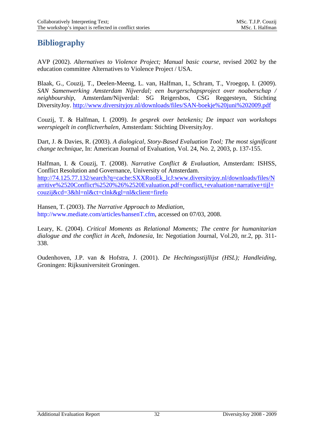## <span id="page-32-0"></span>**Bibliography**

AVP (2002). *Alternatives to Violence Project; Manual basic course*, revised 2002 by the education committee Alternatives to Violence Project / USA.

Blaak, G., Couzij, T., Deelen-Meeng, L. van, Halfman, I., Schram, T., Vroegop, I. (2009). *SAN Samenwerking Amsterdam Nijverdal; een burgerschapsproject over noaberschap / neighbourship*, Amsterdam/Nijverdal: SG Reigersbos, CSG Reggesteyn, Stichting DiversityJoy.<http://www.diversityjoy.nl/downloads/files/SAN-boekje%20juni%202009.pdf>

Couzij, T. & Halfman, I. (2009). *In gesprek over betekenis; De impact van workshops weerspiegelt in conflictverhalen,* Amsterdam: Stichting DiversityJoy.

Dart, J. & Davies, R. (2003). *A dialogical, Story-Based Evaluation Tool; The most significant change technique*, In: American Journal of Evaluation, Vol. 24, No. 2, 2003, p. 137-155.

Halfman, I. & Couzij, T. (2008). *Narrative Conflict & Evaluation*, Amsterdam: ISHSS, Conflict Resolution and Governance, University of Amsterdam. [http://74.125.77.132/search?q=cache:SXXRuoEk\\_lcJ:www.diversityjoy.nl/downloads/files/N](http://74.125.77.132/search?q=cache:SXXRuoEk_lcJ:www.diversityjoy.nl/downloads/files/Narritive%2520Conflict%2520%26%2520Evaluation.pdf+conflict,+evaluation+narrative+tijl+couzij&cd=3&hl=nl&ct=clnk&gl=nl&client=firefo) [arritive%2520Conflict%2520%26%2520Evaluation.pdf+conflict,+evaluation+narrative+tijl+](http://74.125.77.132/search?q=cache:SXXRuoEk_lcJ:www.diversityjoy.nl/downloads/files/Narritive%2520Conflict%2520%26%2520Evaluation.pdf+conflict,+evaluation+narrative+tijl+couzij&cd=3&hl=nl&ct=clnk&gl=nl&client=firefo) [couzij&cd=3&hl=nl&ct=clnk&gl=nl&client=firefo](http://74.125.77.132/search?q=cache:SXXRuoEk_lcJ:www.diversityjoy.nl/downloads/files/Narritive%2520Conflict%2520%26%2520Evaluation.pdf+conflict,+evaluation+narrative+tijl+couzij&cd=3&hl=nl&ct=clnk&gl=nl&client=firefo)

Hansen, T. (2003). *The Narrative Approach to Mediation*, http://www.mediate.com/articles/hansenT.cfm, accessed on 07/03, 2008.

Leary, K. (2004). *Critical Moments as Relational Moments; The centre for humanitarian dialogue and the conflict in Aceh, Indonesia,* In: Negotiation Journal, Vol.20, nr.2, pp. 311- 338.

Oudenhoven, J.P. van & Hofstra, J. (2001). *De Hechtingsstijllijst (HSL); Handleiding,* Groningen: Rijksuniversiteit Groningen.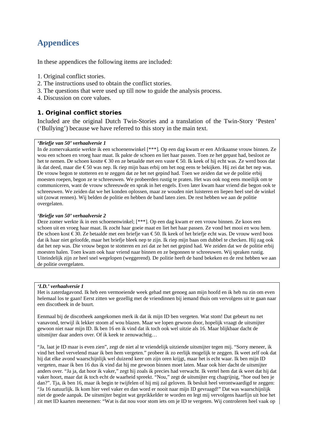## <span id="page-33-0"></span>**Appendices**

In these appendices the following items are included:

- 1. Original conflict stories.
- 2. The instructions used to obtain the conflict stories.
- 3. The questions that were used up till now to guide the analysis process.
- 4. Discussion on core values.

## **1. Original conflict stories**

Included are the original Dutch Twin-Stories and a translation of the Twin-Story 'Pesten' ('Bullying') because we have referred to this story in the main text.

#### *'Briefje van 50' verhaalversie 1*

In de zomervakantie werkte ik een schoenenwinkel [\*\*\*]. Op een dag kwam er een Afrikaanse vrouw binnen. Ze wou een schoen en vroeg haar maat. Ik pakte de schoen en liet haar passen. Toen ze het gepast had, besloot ze het te nemen. De schoen kostte € 30 en ze betaalde met een vaste € 50. Ik keek of hij echt was. Ze werd boos dat ik dat deed, maar die € 50 was nep. Ik riep mijn baas erbij om het nog eens te bekijken. Hij zei dat het nep was. De vrouw begon te stotteren en te zeggen dat ze het net gepind had. Toen we zeiden dat we de politie erbij moesten roepen, begon ze te schreeuwen. We probeerden rustig te praten. Het was ook nog eens moeilijk om te communiceren, want de vrouw schreeuwde en sprak in het engels. Even later kwam haar vriend die begon ook te schreeuwen. We zeiden dat we het konden oplossen, maar ze wouden niet luisteren en liepen heel snel de winkel uit (zowat rennen). Wij belden de politie en hebben de band laten zien. De rest hebben we aan de politie overgelaten.

#### *'Briefje van 50' verhaalversie 2*

Deze zomer werkte ik in een schoenenwinkel; [\*\*\*]. Op een dag kwam er een vrouw binnen. Ze koos een schoen uit en vroeg haar maat. Ik zocht haar goeie maat en liet het haar passen. Ze vond het mooi en wou hem. De schoen kost €30. Ze betaalde met een briefje van €50. Ik keek of het briefje echt was. De vrouw werd boos dat ik haar niet geloofde, maar het briefje bleek nep te zijn. Ik riep mijn baas om dubbel te checken. Hij zag ook dat het nep was. Die vrouw begon te stotteren en zei dat ze het net gepind had. We zeiden dat we de politie erbij moesten halen. Toen kwam ook haar vriend naar binnen en ze begonnen te schreeuwen. Wij spraken rustig. Uiteindelijk zijn ze heel snel wegelopen (weggerend). De politie heeft de band bekeken en de rest hebben we aan de politie overgelaten.

#### *'I.D.' verhaalversie 1*

Het is zaterdagavond. Ik heb een vermoeiende week gehad met genoeg aan mijn hoofd en ik heb nu zin om even helemaal los te gaan! Eerst zitten we gezellig met de vriendinnen bij iemand thuis om vervolgens uit te gaan naar een discotheek in de buurt.

Eenmaal bij de discotheek aangekomen merk ik dat ik mijn ID ben vergeten. Wat stom! Dat gebeurt nu net vanavond, terwijl ik lekker stoom af wou blazen. Maar we lopen gewoon door, hopelijk vraagt de uitsmijter gewoon niet naar mijn ID. Ik ben 16 en ik vind dat ik toch ook wel uitzie als 16. Maar blijkbaar dacht de uitsmijter daar anders over. Of ik keek te zenuwachtig…

"Ja, laat je ID maar is even zien", zegt de niet al te vriendelijk uitziende uitsmijter tegen mij. "Sorry meneer, ik vind het heel vervelend maar ik ben hem vergeten." probeer ik zo eerlijk mogelijk te zeggen. Ik weet zelf ook dat hij dat elke avond waarschijnlijk wel duizend keer om zijn oren krijgt, maar het is echt waar. Ik ben mijn ID vergeten, maar ik ben 16 dus ik vind dat hij me gewoon binnen moet laten. Maar ook hier dacht de uitsmijter anders over. "Ja ja, dat hoor ik vaker," zegt hij zoals ik precies had verwacht. Ik vertel hem dat ik weet dat hij dat vaker hoort, maar dat ik toch echt de waarheid spreekt. "Nou," zegt de uitsmijter erg chagrijnig, "hoe oud ben je dan?". Tja, ik ben 16, maar ik begin te twijfelen of hij mij zal geloven. Ik besluit heel verontwaardigd te zeggen: "Ja 16 natuurlijk. Ik kom hier veel vaker en dan word er nooit naar mijn ID gevraagd!" Dat was waarschijnlijk niet de goede aanpak. De uitsmijter begint wat geprikkelder te worden en legt mij vervolgens haarfijn uit hoe het zit met ID kaarten meenemen: "Wat is dat nou voor stom iets om je ID te vergeten. Wij controleren heel vaak op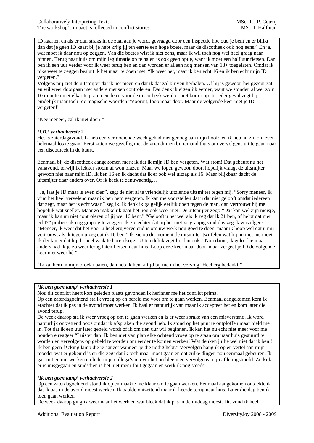ID kaarten en als er dan straks in de zaal aan je wordt gevraagd door een inspectie hoe oud je bent en er blijkt dan dat je geen ID kaart bij je hebt krijg jij ten eerste een hoge boete, maar de discotheek ook nog eens." En ja, wat moet ik daar nou op zeggen. Van die boetes wist ik niet eens, maar ik wil toch nog wel heel graag naar binnen. Terug naar huis om mijn legitimatie op te halen is ook geen optie, want ik moet een half uur fietsen. Dan ben ik een uur verder voor ik weer terug ben en dan worden er alleen nog mensen van 18+ toegelaten. Omdat ik niks weet te zeggen besluit ik het maar te doen met: "Ik weet het, maar ik ben echt 16 en ik ben echt mijn ID vergeten."

Volgens mij ziet de uitsmijter dat ik het meen en dat ik dat zal blijven herhalen. Of hij is gewoon het gezeur zat en wil weer doorgaan met andere mensen controleren. Dat denk ik eigenlijk eerder, want we stonden al wel zo'n 10 minuten met elkar te praten en de rij voor de discotheek werd er niet korter op. In ieder geval zegt hij – eindelijk maar toch- de magische woorden "Vooruit, loop maar door. Maar de volgende keer niet je ID vergeten!"

"Nee meneer, zal ik niet doen!"

#### *'I.D.' verhaalversie 2*

Het is zaterdagavond. Ik heb een vermoeiende week gehad met genoeg aan mijn hoofd en ik heb nu zin om even helemaal los te gaan! Eerst zitten we gezellig met de vriendinnen bij iemand thuis om vervolgens uit te gaan naar een discotheek in de buurt.

Eenmaal bij de discotheek aangekomen merk ik dat ik mijn ID ben vergeten. Wat stom! Dat gebeurt nu net vanavond, terwijl ik lekker stoom af wou blazen. Maar we lopen gewoon door, hopelijk vraagt de uitsmijter gewoon niet naar mijn ID. Ik ben 16 en ik dacht dat ik er ook wel uitzag als 16. Maar blijkbaar dacht de uitsmijter daar anders over. Of ik keek te zenuwachtig…

"Ja, laat je ID maar is even zien", zegt de niet al te vriendelijk uitziende uitsmijter tegen mij. "Sorry meneer, ik vind het heel vervelend maar ik ben hem vergeten. Ik kan me voorstellen dat u dat niet gelooft omdat iedereen dat zegt, maar het is echt waar." zeg ik. Ik denk ik ga gelijk eerlijk doen tegen de man, dan vertrouwt hij me hopelijk wat sneller. Maar zo makkelijk gaat het nou ook weer niet. De uitsmijter zegt: "Dat kan wel zijn meisje, maar ik kan nu niet controleren of jij wel 16 bent." "Gelooft u het wel als ik zeg dat ik 21 ben, of helpt dat niet echt?" probeer ik nog grappig te zeggen. Ik zie echter dat hij het niet zo grappig vind dus zeg ik vervolgens: "Meneer, ik weet dat het voor u heel erg vervelend is om uw werk nou goed te doen, maar ik hoop wel dat u mij vertrouwt als ik tegen u zeg dat ik 16 ben." Ik zie op dit moment de uitsmijter twijfelen wat hij nu met me moet. Ik denk niet dat hij dit heel vaak te horen krijgt. Uiteindelijk zegt hij dan ook: "Nou dame, ik geloof je maar anders had ik je zo weer terug laten fietsen naar huis. Loop deze keer maar door, maar vergeet je ID de volgende keer niet weer hè."

"Ik zal hem in mijn broek naaien, dan heb ik hem altijd bij me in het vervolg! Heel erg bedankt."

#### *'Ik ben geen lamp' verhaalversie 1*

Nou dit conflict heeft kort geleden plaats gevonden ik herinner me het conflict prima.

Op een zaterdagochtend sta ik vroeg op en bereid me voor om te gaan werken. Eenmaal aangekomen kom ik erachter dat ik pas in de avond moet werken. Ik baal er natuurlijk van maar ik accepteer het en kom later die avond terug.

De week daarop sta ik weer vroeg op om te gaan werken en is er weer sprake van een misverstand. Ik word natuurlijk ontzettend boos omdat ik afspraken die avond heb. Ik stond op het punt te ontploffen maar hield me in. Tot dat ik een uur later gebeld wordt of ik om tien uur wil beginnen. Ik kan het nu echt niet meer voor me houden e reageer "Luister dan! Ik ben niet van plan elke ochtend vroeg op te staan om naar huis gestuurd te worden en vervolgens op gebeld te worden om eerder te komen werken! Wat denken jullie wel niet dat ik ben!! Ik ben geen f\*cking lamp die je aanzet wanneer je die nodig hebt." Vervolgen hang ik op en vertel aan mijn moeder wat er gebeurd is en die zegt dat ik toch maar moet gaan en dat zulke dingen nou eenmaal gebeuren. Ik ga om tien uur werken en licht mijn collega's in over het probleem en vervolgens mijn afdelingshoofd. Zij kijkt er is misgegaan en sindsdien is het niet meer fout gegaan en werk ik nog steeds.

#### *'Ik ben geen lamp' verhaalversie 2*

Op een zaterdagochtend stond ik op en maakte me klaar om te gaan werken. Eenmaal aangekomen ontdekte ik dat ik pas in de avond moest werken. Ik baalde ontzettend maar ik keerde terug naar huis. Later die dag ben ik toen gaan werken.

De week daarop ging ik weer naar het werk en wat bleek dat ik pas in de middag moest. Dit vond ik heel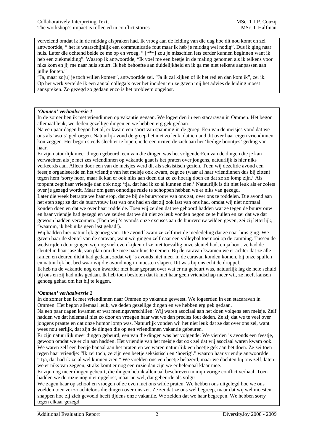vervelend omdat ik in de middag afspraken had. Ik vroeg aan de leiding van die dag hoe dit nou komt en zei antwoordde, " het is waarschijnlijk een communicatie fout maar ik heb je middag wel nodig". Dus ik ging naar huis. Later die ochtend belde ze me op en vroeg, " [\*\*\*] zou je misschien iets eerder kunnen beginnen want ik heb een ziekmelding". Waarop ik antwoordde, "Ik voel me een beetje in de maling genomen als ik telkens voor niks kom en jij me naar huis stuurt. Ik heb behoefte aan duidelijkheid en ik ga me niet telkens aanpassen aan jullie fouten."

"Ja, maar zo[u] je toch willen komen", antwoordde zei. "Ja ik zal kijken of ik het red en dan kom ik", zei ik. Op het werk vertelde ik een aantal collega's over het incident en ze gaven mij het advies de leiding moest aanspreken. Zo gezegd zo gedaan enzo is het probleem opgelost.

#### *'Ommen' verhaalversie 1*

In de zomer ben ik met vriendinnen op vakantie gegaan. We logeerden in een stacaravan in Ommen. Het begon allemaal leuk, we deden gezellige dingen en we hebben erg gek gedaan.

Na een paar dagen begon het al, er kwam een soort van spanning in de groep. Een van de meisjes vond dat we ons als 'aso's' gedroegen. Natuurlijk vond de groep het niet zo leuk, dat iemand dit over haar eigen vriendinnen kon zeggen. Het begon steeds slechter te lopen, iedereen irriteerde zich aan het 'heilige boontjes' gedrag van haar.

Er zijn natuurlijk meer dingen gebeurd, een van die dingen was het volgende:Een van de dingen die je kan verwachten als je met zes vriendinnen op vakantie gaat is het praten over jongens, natuurlijk is hier niks verkeerds aan. Alleen door een van de meisjes werd dit als seksistisch gezien. Toen wij dezelfde avond een feestje organiseerde en het vriendje van het meisje ook kwam, zegt ze (waar al haar vriendinnen dus bij zitten) tegen hem 'sorry hoor, maar ik kan er ook niks aan doen dat ze zo hoerig doen en dat ze zo lomp zijn.' Als toppunt zegt haar vriendje dan ook nog: 'tja, dat had ik zo al kunnen zien.' Natuurlijk is dit niet leuk als er zoiets over je gezegd wordt. Maar om geen onnodige ruzie te schoppen hebben we er niks van gezegd.

Later die week betrapte we haar erop, dat ze bij de buurvrouw van ons zat, over ons te roddelen. Die avond aan het eten zegt ze dat de buurvrouw last van ons had en dat zij ook last van ons had, omdat wij niet normaal konden doen en dat we over haar roddelde. Toen wij zeiden dat we gehoord hadden wat ze tegen de buurvrouw en haar vriendje had gezegd en we zeiden dat we dit niet zo leuk vonden begon ze te huilen en zei dat we dat gewoon hadden verzonnen. (Toen wij 's avonds onze excuses aan de buurvrouw wilden geven, zei zij letterlijk, "waarom, ik heb niks geen last gehad').

Wij hadden hier natuurlijk genoeg van. Die avond kwam ze zelf met de mededeling dat ze naar huis ging. We gaven haar de sleutel van de caravan, want wij gingen zelf naar een volleybal toernooi op de camping. Tussen de wedstrijden door gingen wij nog snel even kijken of ze niet toevallig onze sleutel had, en ja hoor, ze had de sleutel in haar jaszak, van plan om die mee naar huis te nemen. Bij de caravan kwamen we er achter dat ze alle ramen en deuren dicht had gedaan, zodat wij 's avonds niet meer in de caravan konden komen, bij onze spullen en natuurlijk het bed waar wij die avond nog in moesten slapen. Dit was bij ons echt de druppel.

Ik heb na de vakantie nog een kwartier met haar gepraat over wat er nu gebeurt was, natuurlijk lag de hele schuld bij ons en zij had niks gedaan. Ik heb toen besloten dat ik met haar geen vriendschap meer wil, ze heeft kansen genoeg gehad om het bij te leggen.

#### *'Ommen' verhaalversie 2*

In de zomer ben ik met vriendinnen naar Ommen op vakantie geweest. We logeerden in een stacaravan in Ommen. Het begon allemaal leuk, we deden gezellige dingen en we hebben erg gek gedaan.

Na een paar dagen kwamen er wat meningsverschillen: Wij waren asociaal aan het doen volgens een meisje. Zelf hadden we dat helemaal niet zo door en vroegen haar wat we dan precies fout deden. Ze zij dat we te veel over jongens praatte en dat onze humor lomp was. Natuurlijk vonden wij het niet leuk dat ze dat over ons zei, want wees nou eerlijk, dat zijn de dingen die op een vriendinnen vakantie gebeuren.

Er zijn natuurlijk meer dingen gebeurd, een van die dingen was het volgende: We vierden 's avonds een feestje, gewoon omdat we er zin aan hadden. Het vriendje van het meisje dat ook zei dat wij asociaal waren kwam ook. We waren zelf een beetje banaal aan het praten en we waren natuurlijk een beetje gek aan het doen. Ze zei toen tegen haar vriendje: "Ik zei toch, ze zijn een beetje seksistisch en 'hoerig'." waarop haar vriendje antwoordde: "Tja, dat had ik zo al wel kunnen zien." We voelden ons een beetje belazerd, maar we dachten bij ons zelf, laten we er niks van zeggen, straks komt er nog een ruzie dan zijn we er helemaal klaar mee.

Er zijn nog meer dingen gebeurt, die dingen heb ik allemaal beschreven in mijn vorige conflict verhaal. Toen hadden we de ruzie nog niet opgelost, maar nu wel, dat gebeurde als volgt:

We zagen haar op school en vroegen of ze even met ons wilde praten. We hebben ons uitgelegd hoe we ons voelden toen zei zo achteloos die dingen over ons zei. Ze zei dat ze ons wel begreep, maar dat wij wel moesten snappen hoe zij zich gevoeld heeft tijdens onze vakantie. We zeiden dat we haar begrepen. We hebben sorry tegen elkaar gezegd.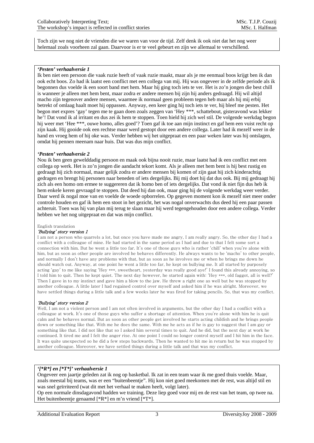Toch zijn we nog niet de vrienden die we waren van voor de tijd. Zelf denk ik ook niet dat het nog weer helemaal zoals voorheen zal gaan. Daarvoor is er te veel gebeurt en zijn we allemaal te verschillend.

#### *'Pesten' verhaalversie 1*

Ik ben niet een persoon die vaak ruzie heeft of vaak ruzie maakt, maar als je me eenmaal boos krijgt ben ik dan ook echt boos. Zo had ik laatst een conflict met een collega van mij. Hij was ongeveer in de zelfde periode als ik begonnen dus voelde ik een soort band met hem. Maar hij ging toch iets te ver. Het is zo'n jongen die best chill is wanneer je alleen met hem bent, maar zodra er andere mensen bij zijn hij anders gedraagd. Hij wil altijd macho zijn tegenover andere mensen, waarmee ik normaal geen probleem tegen heb maar als hij mij erbij betrekt of omlaag haalt moet hij oppassen. Anyway, een keer ging hij toch iets te ver, hij bleef me pesten. Het begon met expres 'gay' tegen me te gaan doen zoals zeggen van 'Hey \*\*\*, schattebout, gisteravond was lekker he'! Dat vond ik al irritant en dus zei ik hem te stoppen. Toen hield hij zich wel stil. De volgende werkdag begon hij weer met 'Hee \*\*\*, ouwe homo, alles goed'? Toen gaf ik toe aan mijn instinct en gaf hem een vuist recht op zijn kaak. Hij gooide ook een rechtse maar werd gestopt door een andere collega. Later had ik mezelf weer in de hand en vroeg hem of hij oke was. Verder hebben wij het uitgepraat en een paar weken later was hij ontslagen, omdat hij pennen meenam naar huis. Dat was dus mijn conflict.

#### *'Pesten' verhaalversie 2*

Nou ik ben geen gewelddadig persoon en maak ook bijna nooit ruzie, maar laatst had ik een conflict met een collega op werk. Het is zo'n jongen die aandacht tekort komt. Als je alleen met hem bent is hij best rustig en gedraagt hij zich normaal, maar gelijk zodra er andere mensen bij komen of zijn gaat hij zich kinderachtig gedragen en brengt hij personen naar beneden of iets dergelijks. Bij mij doet hij dat dus ook. Bij mij gedraagt hij zich als een homo om ermee te suggereren dat ik homo ben of iets dergelijks. Dat vond ik niet fijn dus heb ik hem enkele keren gevraagd te stoppen. Dat deed hij dan ook, maar ging hij de volgende werkdag weer verder. Daar werd ik nogal moe van en voelde de woede opborrelen. Op gegeven moment kon ik mezelf niet meer onder controle houden en gaf ik hem een stoot in het gezicht, het was nogal onverwachts dus deed hij een paar passen achteruit. Toen was hij van plan mij terug te slaan maar hij werd tegengehouden door een andere collega. Verder hebben we het nog uitgepraat en dat was mijn conflict.

#### English translation

#### 'Bullying' story version 1

I am not a person who quarrels a lot, but once you have made me angry, I am really angry. So, the other day I had a conflict with a colleague of mine. He had started in the same period as I had and due to that I felt some sort a connection with him. But he went a little too far. It's one of those guys who is rather 'chill' when you're alone with him, but as soon as other people are involved he behaves differently. He always wants to be 'macho' to other people, and normally I don't have any problems with that, but as soon as he involves me or when he brings me down he should watch out. Anyway, at one point he went a little too far, he kept on bullying me. It all started by purposely acting 'gay' to me like saying 'Hey \*\*\*, sweetheart, yesterday was really good aye!' I found this already annoying, so I told him to quit. Then he kept quiet. The next day however, he started again with: 'Hey \*\*\*, old faggot, all is well?' Then I gave in to my instinct and gave him a blow to the jaw. He threw a right one as well but he was stopped by another colleague. A little later I had regained control over myself and asked him if he was alright. Moreover, we have settled things during a little talk and a few weeks later he was fired for taking pencils. So, that was my conflict.

#### 'Bullying' story version 2

Well, I am not a violent person and I am not often involved in arguments, but the other day I had a conflict with a colleague at work. It's one of those guys who suffer a shortage of attention. When you're alone with him he is quit calm and he behaves normal. But as soon as other people get involved he starts acting childish and he brings people down or something like that. With me he does the same. With me he acts as if he is gay to suggest that I am gay or something like that. I did not like that so I asked him several times to quit. And he did, but the next day at work he continued. It tired me and I felt the anger rise. At one point I could no longer control myself and I hit him in the face. It was quite unexpected so he did a few steps backwards. Then he wanted to hit me in return but he was stopped by another colleague. Moreover, we have settled things during a little talk and that was my conflict.

#### *'[\*R\*] en [\*T\*]' verhaalversie 1*

Ongeveer een jaartje geleden zat ik nog op basketbal. Ik zat in een team waar ik me goed thuis voelde. Maar, zoals meestal bij teams, was er een "buitenbeentje". Hij kon niet goed meekomen met de rest, was altijd stil en was snel geïrriteerd (wat dit met het verhaal te maken heeft, volgt later).

Op een normale dinsdagavond hadden we training. Deze liep goed voor mij en de rest van het team, op twee na. Het buitenbeentje genaamd [\*R\*] en m'n vriend [\*T\*].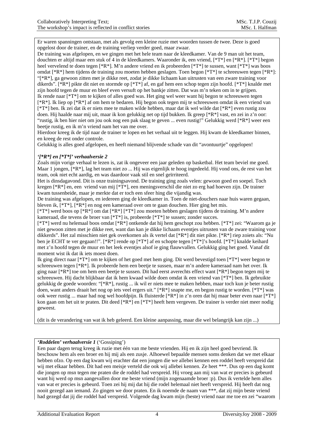Er waren spanningen ontstaan, met als gevolg een kleine ruzie met woorden tussen de twee. Deze is goed opgelost door de trainer, en de training verliep verder goed, maar zwaar.

De training was afgelopen, en we gingen met het hele team naar de kleedkamer. Van de 9 man uit het team, douchten er altijd maar een stuk of 4 in de kleedkamers. Waaronder ik, een vriend, [\*T\*] en [\*R\*]. [\*T\*] begon heel vervelend te doen tegen [\*R\*]. M'n andere vriend en ik probeerden [\*T\*] te sussen, want [\*T\*] was boos omdat [\*R\*] hem tijdens de training zou moeten hebben geslagen. Toen begon [\*T\*] te schreeuwen tegen [\*R\*]: "[\*R\*], ga gewoon zitten met je dikke reet, zodat je dikke lichaam kan uitrusten van een zware training voor dikerds". [\*R\*] pikte dit niet en stormde op [\*T\*] af, en gaf hem een schop tegen zijn hoofd. [\*T\*] knalde met zijn hoofd tegen de muur en bleef even versuft op het bankje zitten. Dat was m'n teken om in te grijpen. Ik rende naar [\*T\*] om te kijken of alles goed was. Het ging wel weer want hij begon te schreeuwen tegen [\*R\*]. Ik liep op [\*R\*] af om hem te bedaren. Hij begon ook tegen mij te schreeuwen omdat ik een vriend van [\*T\*] ben. Ik zei dat ik er niets mee te maken wilde hebben, maar dat ik wel wilde dat [\*R\*] even rustig zou doen. Hij haalde naar mij uit, maar ik kon gelukkig net op tijd bukken. Ik greep [\*R\*] vast, en zei in z'n oor: "rustig, ik ben hier niet om jou ook nog een pak slaag te geven ... even rustig!" Gelukkig werd [\*R\*] weer een beetje rustig, en ik m'n vriend nam het van me over.

Hierdoor kreeg ik de tijd naar de trainer te lopen en het verhaal uit te leggen. Hij kwam de kleedkamer binnen, en kreeg de rest onder controle.

Gelukkig is alles goed afgelopen, en heeft niemand blijvende schade van dit "avontuurtje" opgelopen!

#### *'[\*R\*] en [\*T\*]' verhaalversie 2*

Zoals mijn vorige verhaal te lezen is, zat ik ongeveer een jaar geleden op basketbal. Het team beviel me goed. Maar 1 jongen, [\*R\*], lag het team niet zo ... Hij was eigenlijk te hoog ingedeeld. Hij vond ons, de rest van het team, ook niet echt aardig, en was daardoor vaak stil en snel geïrriteerd.

Het is dinsdagavond. Dit is onze trainingsavond. De training ging zoals velen: gewoon goed en soepel. Toch kregen [\*R\*] en, een vriend van mij [\*T\*], een meningsverschil die niet zo erg had hoeven zijn. De trainer kwam tussenbeide, maar je merkte dat er toch een sfeer hing die vijandig was.

De training was afgelopen, en iedereen ging de kleedkamer in. Toen de niet-douchers naar huis waren gegaan, bleven ik, [\*T\*], [\*R\*] en nog een kameraad over om te gaan douchen. Hier ging het mis.

[\*T\*] werd boos op [\*R\*] om dat [\*R\*] [\*T\*] zou moeten hebben geslagen tijdens de training. M'n andere kameraad, die tevens de broer van [\*T\*] is, probeerde [\*T\*] te sussen; zonder succes.

[\*T\*] werd nu helemaal boos omdat [\*R\*] ontkende dat hij hem geschopt zou hebben. [\*T\*] zei: "Waarom ga je niet gewoon zitten met je dikke reet, want dan kan je dikke lichaam eventjes uitrusten van de zware training voor dikkerds". Het zal misschien niet gek overkomen als ik vertel dat [\*R\*] dit niet pikte. [\*R\*] riep zoiets als: "Nu ben je ECHT te ver gegaan!!". [\*R\*] rende op [\*T\*] af en schopte tegen [\*T\*]'s hoofd. [\*T\*] knalde keihard met z'n hoofd tegen de muur en het leek eventjes alsof ie ging flauwvallen. Gelukkig ging het goed. Vanaf dit moment wist ik dat ik iets moest doen.

Ik ging direct naar [\*T\*] om te kijken of het goed met hem ging. Dit werd bevestigd toen [\*T\*] weer begon te schreeuwen tegen [\*R\*]. Ik probeerde hem een beetje te sussen, maar m'n andere kameraad nam het over. Ik ging naar [\*R\*] toe om hem een beetje te sussen. Dit had eerst averechts effect want [\*R\*] begon tegen mij te schreeuwen. Hij dacht blijkbaar dat ik hem kwaad wilde doen omdat ik een vriend van [\*T\*] ben. Ik gebruikte gelukkig de goede woorden: "[\*R\*], rustig ... ik wil er niets mee te maken hebben, maar toch kun je beter rustig doen, want anders draait het nog op iets veel ergers uit." [\*R\*] snapte me, en begon rustig te worden. [\*T\*] was ook weer rustig ... maar had nog wel hoofdpijn. Ik fluisterde [\*R\*] in z'n oren dat hij maar beter even naar [\*T\*] kon gaan om het uit te praten. Dit deed [\*R\*] en [\*T\*] heeft hem vergeven. De trainer is verder niet meer nodig geweest.

(dit is de verandering van wat ik heb geleerd. Een kleine aanpassing, maar die wel belangrijk kan zijn ...)

#### *'Roddelen' verhaalversie 1* ('Gossiping')

Een paar dagen terug kreeg ik ruzie met één van me beste vrienden. Hij en ik zijn heel goed bevriend. Ik beschouw hem als een broer en hij mij als een zusje. Alhoewel bepaalde mensen soms denken dat we met elkaar hebben ofzo. Op een dag kwam wij erachter dat een jongen die we allebei kennen een roddel heeft verspreid dat wij met elkaar hebben. Dit had een meisje verteld die ook wij allebei kennen. Ze heet \*\*\*. Dus op een dag komt die jongen op msn tegen me praten die de roddel had verspreid. Hij vroeg aan mij van wat er precies is gebeurd want hij werd op msn aangevallen door me beste vriend (mijn zogenaamde broer :p). Dus ik vertelde hem alles van wat er precies is gebeurd. Toen zei hij mij dat hij die rodel helemaal niet heeft verspreid. Hij heeft dat nog nooit gezegd aan iemand. Zo gingen we door praten. En ik noemde de naam van \*\*\*, dat zij mijn beste vriend had gezegd dat jij die roddel had verspreid. Volgende dag kwam mijn (beste) vriend naar me toe en zei "waarom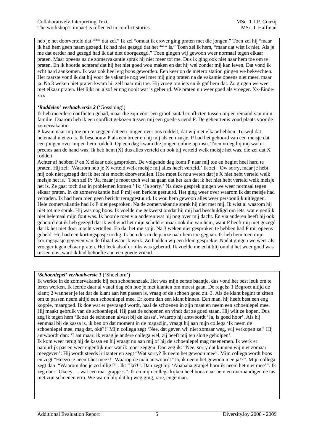heb je het doorverteld dat \*\*\* dat zei." Ik zei "omdat ik erover ging praten met die jongen." Toen zei hij "maar ik had hem geen naam gezegd. Ik had niet gezegd dat het \*\*\* is." Toen zei ik hem, "maar dat wist ik niet. Als je me dat eerder had gezegd had ik dat niet doorgezegd." Toen gingen wij gewoon weer normaal tegen elkaar praten. Maar opeens na de zomervakantie sprak hij niet meer tot me. Dus ik ging ook niet naar hem toe om te praten. En ik hoorde achteraf dat hij het niet goed wou maken en dat hij wel zonder mij kan leven. Dat vond ik echt hard aankomen. Ik was ook heel erg boos geworden. Een keer op de metero station gingen we bekvechten. Het raarste vond ik dat hij voor de vakantie nog wel met mij ging praten na de vakantie opeens niet meer, maar ja. Na 3 weken niet praten kwam hij zelf naar mij toe. Hij vroeg om iets en ik gaf hem dat. Zo gingen we weer met elkaar praten. Het lijkt nu alsof er nog nooit wat is gebeurd. We praten nu weer goed als vroeger. Xx-Eindexxx

#### *'Roddelen' verhaalversie 2* ('Gossiping')

Ik heb meerdere conflicten gehad, maar die zijn voor een groot aantal conflicten tussen mij en iemand van mijn familie. Daarom heb ik een conflict gekozen tussen mij een goede vriend P. De gebeurtenis vond plaats voor de zomervakantie.

P kwam naar mij toe om te zeggen dat een jongen over ons roddelt, dat wij met elkaar hebben. Terwijl dat helemaal niet zo is. Ik beschouw P als een broer en hij mij als een zusje. P had het gehoord van een meisje dat een jongen over mij en hem roddelt. Op een dag kwam die jongen online op msn. Toen vroeg hij mij wat er precies aan de hand was. Ik heb hem (X) dus alles verteld en ook bij verteld welk meisje het was, die zei dat X roddelt.

Achter af hebben P en X elkaar ook gesproken. De volgende dag komt P naar mij toe en begint heel hard te praten. Hij zei: 'Waarom heb je X verteld welk meisje mij alles heeft verteld.' Ik zei: 'Ow sorry, maar je hebt mij ook niet gezegd dat ik het niet mocht doorvertellen. Hoe moet ik nou weten dat je X niet hebt verteld welk meisje het is.' Toen zei P: 'Ja, maar je moet toch wel na gaan dat het kan dat ik het niet hebt verteld welk meisje het is. Ze gaat toch dan in problemen komen.' Ik: 'Ja sorry.' Na deze gesprek gingen we weer normaal tegen elkaar praten. In de zomervakantie had P mij een bericht gestuurd. Het ging weer over waarom ik dat meisje had verraden. Ik had hem toen geen bericht teruggestuurd. Ik wou hem gewoon alles weer persoonlijk uitleggen. Hele zomervakantie had ik P niet gesproken. Na de zomervakantie sprak hij niet met mij. Ik wist al waarom hij niet tot me sprak. Hij was nog boos. Ik voelde me gekwetst omdat hij mij had beschuldigd om iets, wat eigenlijk niet helemaal mijn fout was. Ik hoorde toen via anderen wat hij nog over mij dacht. En via anderen heeft hij ook gehoord dat ik heb gezegd dat ik wel vind het mijn schuld is maar ook die van hem, want P heeft mij niet gezegd dat ik het niet door mocht vertellen. En dat het me spijt. Na 3 weken niet gesproken te hebben had P mij opeens gebeld. Hij had een kortingspasje nodig. Ik ben dus in de pauze naar hem toe gegaan. Ik heb hem toen mijn kortingspasje gegeven van de filiaal waar ik werk. Zo hadden wij een klein gesprekje. Nadat gingen we weer als vroeger tegen elkaar praten. Het leek alsof er niks was gebeurd. Ik voelde me echt blij omdat het weer goed was tussen ons, want ik had behoefte aan een goede vriend.

#### *'Schoenlepel' verhaalversie 1* ('Shoehorn')

Ik werkte in de zomervakantie bij een schoenenzaak. Het was mijn eerste baantje, dus vond het best leuk om te leren werken. Ik leerde daar al vanaf dag één hoe je met klanten om moest gaan. De regels: 1 Begroet altijd de klant; 2 wanneer je iet dat de klant aan het passen is, vraag of de schoen goed zit. 3. Als de klant begint te zitten om te passen neem altijd een schoenlepel mee. Er komt dan een klant binnen. Een man, hij heeft best een eng koppie, maargoed. Ik doe wat er gevraagd wordt, haal de schoenen in zijn maat en neem een schoenlepel mee. Hij maakt gebruik van de schoenlepel. Hij past de schoenen en vindt dat ze goed staan. Hij wilt ze kopen. Dus zeg ik tegen hem 'Ik zet de schoenen alvast bij de kassa'. Waarop hij antwoordt 'Ja, is goed hoor'. Als hij eenmaal bij de kassa is, ik ben op dat moment in de magazijn, vraagt hij aan mijn collega 'Ik neem de schoenlepel mee, mag dat, okè?!' Mijn collega zegt 'Nee, dat geven wij niet zomaar weg, wij verkopen ze!' Hij antwoordt dan: 'Laat maar, ik vraag je andere collega wel, zij heeft mij ten slotte geholpen'. Ik kom weer terug bij de kassa en hij vraagt nu aan mij of hij de schoenlepel mag meenemen. Ik werk er natuurlijk pas en weet eigenlijk niet wat ik moet zeggen. Dan zeg ik: "Nee, sorry dat kunnen wij niet zomaar meegeven': Hij wordt steeds irritanter en zegt "Wat sorry? Ik neem het gewoon mee". Mijn collega wordt boos en zegt "Hoezo je neemt het mee?!" Waarop de man antwoordt "Ja, ik neem het gewoon mee ja!?". Mijn collega zegt dan: "Waarom doe je zo lullig!?". Ik: "Ja?!". Dan zegt hij: 'Ahahaha grapje! hoor ik neem het niet mee'". Ik zeg dan: "Okeey…. wat een raar grapje :s". Ik en mijn collega kijken heel boos naar hem en overhandigen de tas met zijn schoenen erin. We waren blij dat hij weg ging, rare, enge man.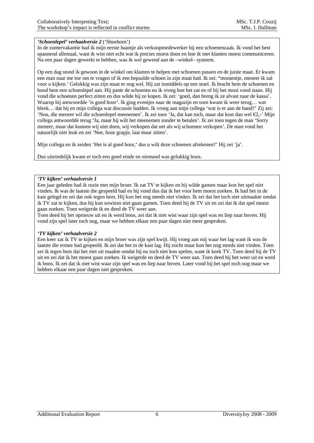#### *'Schoenlepel' verhaalversie 2* ('Shoehorn')

In de zomervakantie had ik mijn eerste baantje als verkoopmedewerker bij een schoenenzaak. Ik vond het best spannend allemaal, want ik wist niet echt wat ik precies moest doen en hoe ik met klanten moest communiceren. Na een paar dagen gewerkt te hebben, was ik wel gewend aan de –winkel– systeem.

Op een dag stond ik gewoon in de winkel om klanten te helpen met schoenen passen en de juiste maat. Er kwam een man naar me toe om te vragen of ik een bepaalde schoen in zijn maat had. Ik zei: "momentje, meneer ik zal voor u kijken.' Gelukkig was zijn maat er nog wel. Hij zat inmiddels op een stoel. Ik bracht hem de schoenen en bood hem een schoenlepel aan. Hij paste de schoenen en ik vroeg hoe het zat en of hij het mooi vond staan. Hij vond die schoenen perfect zitten en dus wilde hij ze kopen. Ik zei: 'goed, dan breng ik ze alvast naar de kassa'. Waarop hij antwoordde 'is goed hoor'. Ik ging eventjes naar de magazijn en toen kwam ik weer terug… wat bleek… dat hij en mijn collega wat discussie hadden. Ik vroeg aan mijn collega 'wat is er aan de hand?' Zij zei: 'Nou, die meneer wil die schoenlepel meenemen'. Ik zei toen 'Ja, dat kan toch, maar dat kost dan wel €2,-' Mijn collega antwoordde terug 'Ja, maar hij wilt het meenemen zonder te betalen'. Ik zei toen tegen de man 'Sorry meneer, maar dat kunnen wij niet doen, wij verkopen dat net als wij schoenen verkopen'. De man vond het natuurlijk niet leuk en zei 'Nee, hoor grapje, laat maar zitten'.

Mijn collega en ik zeiden 'Het is al goed hoor,' dus u wilt deze schoenen afrekenen?' Hij zei 'ja'.

Dus uiteindelijk kwam er toch een goed einde en niemand was gelukkig boos.

#### *'TV kijken' verhaalversie 1*

Een jaar geleden had ik ruzie met mijn broer. Ik zat TV te kijken en hij wilde gamen maar kon het spel niet vinden. Ik was de laatste die gespeeld had en hij vond dus dat ik het voor hem moest zoeken. Ik had het in de kast gelegd en zei dat ook tegen hem. Hij kon het nog steeds niet vinden. Ik zei dat het toch niet uitmaakte omdat ik TV zat te kijken, dus hij kon sowieso niet gaan gamen. Toen deed hij de TV uit en zei dat ik dat spel moest gaan zoeken. Toen weigerde ik en deed de TV weer aan.

Toen deed hij het opnieuw uit en ik werd boos, zei dat ik niet wist waar zijn spel was en liep naar boven. Hij vond zijn spel later toch nog, maar we hebben elkaar een paar dagen niet meer gesproken.

#### *'TV kijken' verhaalversie 2*

Een keer zat ik TV te kijken en mijn broer was zijn spel kwijt. Hij vroeg aan mij waar het lag want ik was de laatste die ermee had gespeeld. Ik zei dat het in de kast lag. Hij zocht maar kon het nog steeds niet vinden. Toen zei ik tegen hem dat het niet uit maakte omdat hij nu toch niet kon spelen, want ik keek TV. Toen deed hij de TV uit en zei dat ik het moest gaan zoeken. Ik weigerde en deed de TV weer aan. Toen deed hij het weer uit en werd ik boos. Ik zei dat ik niet wist waar zijn spel was en liep naar boven. Later vond hij het spel toch nog maar we hebben elkaar een paar dagen niet gesproken.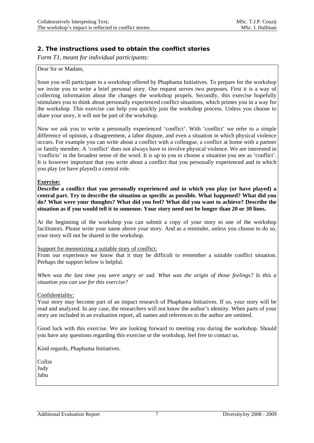## <span id="page-40-0"></span>**2. The instructions used to obtain the conflict stories**

*Form T1, meant for individual participants:* 

#### Dear Sir or Madam,

Soon you will participate in a workshop offered by Phaphama Initiatives. To prepare for the workshop we invite you to write a brief personal story. Our request serves two purposes. First it is a way of collecting information about the changes the workshop propels. Secondly, this exercise hopefully stimulates you to think about personally experienced conflict situations, which primes you in a way for the workshop. This exercise can help you quickly join the workshop process. Unless you choose to share your story, it will not be part of the workshop.

Now we ask you to write a personally experienced 'conflict'. With 'conflict' we refer to a simple difference of opinion, a disagreement, a labor dispute, and even a situation in which physical violence occurs. For example you can write about a conflict with a colleague, a conflict at home with a partner or family member. A 'conflict' does not always have to involve physical violence. We are interested in 'conflicts' in the broadest sense of the word. It is up to you to choose a situation you see as 'conflict'. It is however important that you write about a conflict that you personally experienced and in which you play (or have played) a central role.

#### **Exercise:**

**Describe a conflict that you personally experienced and in which you play (or have played) a central part. Try to describe the situation as specific as possible. What happened? What did you do? What were your thoughts? What did you feel? What did you want to achieve? Describe the situation as if you would tell it to someone. Your story need not be longer than 20 or 30 lines.** 

At the beginning of the workshop you can submit a copy of your story to one of the workshop facilitators. Please write your name above your story. And as a reminder, unless you choose to do so, your story will not be shared in the workshop.

#### Support for memorizing a suitable story of conflict:

From our experience we know that it may be difficult to remember a suitable conflict situation. Perhaps the support below is helpful.

*When was the last time you were angry or sad. What was the origin of those feelings? Is this a situation you can use for this exercise?* 

#### Confidentiality:

Your story may become part of an impact research of Phaphama Initiatives. If so, your story will be read and analyzed. In any case, the researchers will not know the author's identity. When parts of your story are included in an evaluation report, all names and references to the author are omitted.

Good luck with this exercise. We are looking forward to meeting you during the workshop. Should you have any questions regarding this exercise or the workshop, feel free to contact us.

Kind regards, Phaphama Initiatives.

Collin Judy Jabu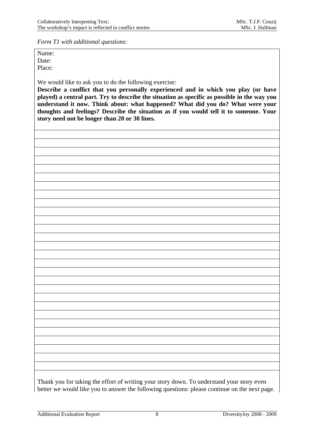*Form T1 with additional questions:* 

Name: Date: Place:

We would like to ask you to do the following exercise:

**Describe a conflict that you personally experienced and in which you play (or have played) a central part. Try to describe the situation as specific as possible in the way you understand it now. Think about: what happened? What did you do? What were your thoughts and feelings? Describe the situation as if you would tell it to someone. Your story need not be longer than 20 or 30 lines.** 

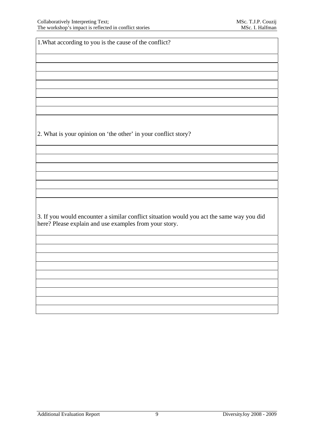1.What according to you is the cause of the conflict?

2. What is your opinion on 'the other' in your conflict story?

3. If you would encounter a similar conflict situation would you act the same way you did here? Please explain and use examples from your story.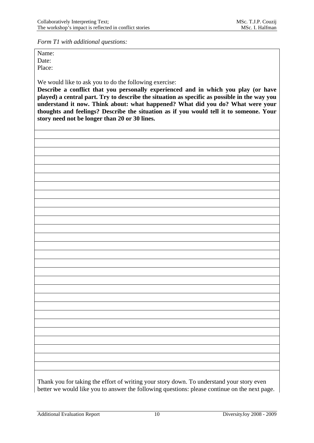*Form T1 with additional questions:* 

Name: Date: Place:

We would like to ask you to do the following exercise:

**Describe a conflict that you personally experienced and in which you play (or have played) a central part. Try to describe the situation as specific as possible in the way you understand it now. Think about: what happened? What did you do? What were your thoughts and feelings? Describe the situation as if you would tell it to someone. Your story need not be longer than 20 or 30 lines.** 

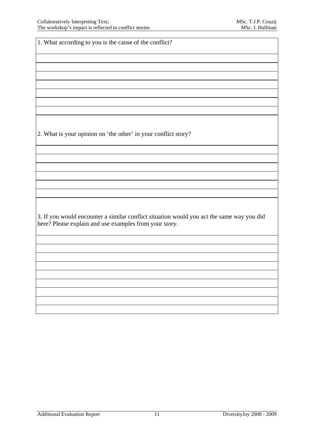1. What according to you is the cause of the conflict? 2. What is your opinion on 'the other' in your conflict story? 3. If you would encounter a similar conflict situation would you act the same way you did here? Please explain and use examples from your story.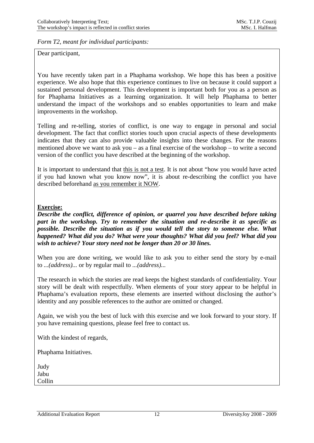*Form T2, meant for individual participants:* 

Dear participant,

You have recently taken part in a Phaphama workshop. We hope this has been a positive experience. We also hope that this experience continues to live on because it could support a sustained personal development. This development is important both for you as a person as for Phaphama Initiatives as a learning organization. It will help Phaphama to better understand the impact of the workshops and so enables opportunities to learn and make improvements in the workshop.

Telling and re-telling, stories of conflict, is one way to engage in personal and social development. The fact that conflict stories touch upon crucial aspects of these developments indicates that they can also provide valuable insights into these changes. For the reasons mentioned above we want to ask you – as a final exercise of the workshop – to write a second version of the conflict you have described at the beginning of the workshop.

It is important to understand that this is not a test. It is not about "how you would have acted if you had known what you know now", it is about re-describing the conflict you have described beforehand as you remember it NOW.

## **Exercise:**

*Describe the conflict, difference of opinion, or quarrel you have described before taking part in the workshop. Try to remember the situation and re-describe it as specific as possible. Describe the situation as if you would tell the story to someone else. What happened? What did you do? What were your thoughts? What did you feel? What did you wish to achieve? Your story need not be longer than 20 or 30 lines.* 

When you are done writing, we would like to ask you to either send the story by e-mail to *...(address)...* or by regular mail to *...(address)...*

The research in which the stories are read keeps the highest standards of confidentiality. Your story will be dealt with respectfully. When elements of your story appear to be helpful in Phaphama's evaluation reports, these elements are inserted without disclosing the author's identity and any possible references to the author are omitted or changed.

Again, we wish you the best of luck with this exercise and we look forward to your story. If you have remaining questions, please feel free to contact us.

With the kindest of regards,

Phaphama Initiatives.

| Judy   |
|--------|
| Jabu   |
| Collin |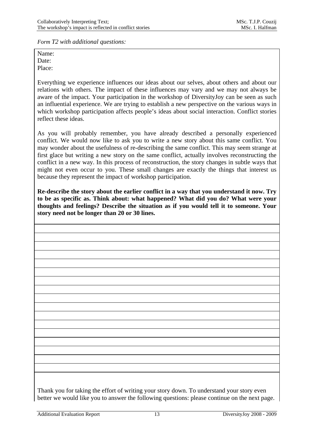*Form T2 with additional questions:* 

Name: Date: Place:

Everything we experience influences our ideas about our selves, about others and about our relations with others. The impact of these influences may vary and we may not always be aware of the impact. Your participation in the workshop of DiversityJoy can be seen as such an influential experience. We are trying to establish a new perspective on the various ways in which workshop participation affects people's ideas about social interaction. Conflict stories reflect these ideas.

As you will probably remember, you have already described a personally experienced conflict. We would now like to ask you to write a new story about this same conflict. You may wonder about the usefulness of re-describing the same conflict. This may seem strange at first glace but writing a new story on the same conflict, actually involves reconstructing the conflict in a new way. In this process of reconstruction, the story changes in subtle ways that might not even occur to you. These small changes are exactly the things that interest us because they represent the impact of workshop participation.

**Re-describe the story about the earlier conflict in a way that you understand it now. Try to be as specific as. Think about: what happened? What did you do? What were your thoughts and feelings? Describe the situation as if you would tell it to someone. Your story need not be longer than 20 or 30 lines.** 

Thank you for taking the effort of writing your story down. To understand your story even better we would like you to answer the following questions: please continue on the next page.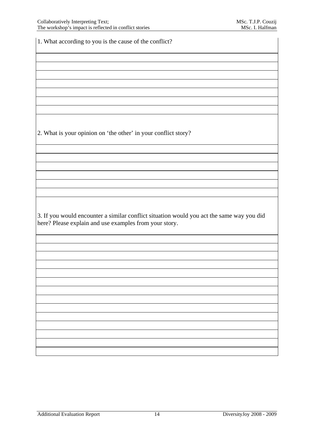1. What according to you is the cause of the conflict? 2. What is your opinion on 'the other' in your conflict story? 3. If you would encounter a similar conflict situation would you act the same way you did here? Please explain and use examples from your story.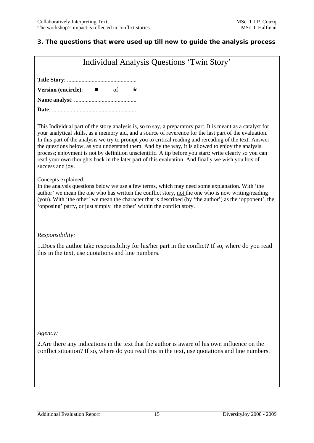## <span id="page-48-0"></span>**3. The questions that were used up till now to guide the analysis process**

|                                                                                                                                                                                                                                                                                                                                                                                                                                                                                                                                                                                                                                                                          | Individual Analysis Questions 'Twin Story' |  |  |  |  |
|--------------------------------------------------------------------------------------------------------------------------------------------------------------------------------------------------------------------------------------------------------------------------------------------------------------------------------------------------------------------------------------------------------------------------------------------------------------------------------------------------------------------------------------------------------------------------------------------------------------------------------------------------------------------------|--------------------------------------------|--|--|--|--|
|                                                                                                                                                                                                                                                                                                                                                                                                                                                                                                                                                                                                                                                                          |                                            |  |  |  |  |
| <b>Version (encircle):</b> $\blacksquare$ of $\star$                                                                                                                                                                                                                                                                                                                                                                                                                                                                                                                                                                                                                     |                                            |  |  |  |  |
|                                                                                                                                                                                                                                                                                                                                                                                                                                                                                                                                                                                                                                                                          |                                            |  |  |  |  |
|                                                                                                                                                                                                                                                                                                                                                                                                                                                                                                                                                                                                                                                                          |                                            |  |  |  |  |
| This Individual part of the story analysis is, so to say, a preparatory part. It is meant as a catalyst for<br>your analytical skills, as a memory aid, and a source of reverence for the last part of the evaluation.<br>In this part of the analysis we try to prompt you to critical reading and rereading of the text. Answer<br>the questions below, as you understand them. And by the way, it is allowed to enjoy the analysis<br>process; enjoyment is not by definition unscientific. A tip before you start: write clearly so you can<br>read your own thoughts back in the later part of this evaluation. And finally we wish you lots of<br>success and joy. |                                            |  |  |  |  |
| Concepts explained:<br>In the analysis questions below we use a few terms, which may need some explanation. With 'the<br>author' we mean the one who has written the conflict story, not the one who is now writing/reading<br>(you). With 'the other' we mean the character that is described (by 'the author') as the 'opponent', the<br>'opposing' party, or just simply 'the other' within the conflict story.                                                                                                                                                                                                                                                       |                                            |  |  |  |  |
|                                                                                                                                                                                                                                                                                                                                                                                                                                                                                                                                                                                                                                                                          |                                            |  |  |  |  |
| <i><u><b>Responsibility:</b></u></i>                                                                                                                                                                                                                                                                                                                                                                                                                                                                                                                                                                                                                                     |                                            |  |  |  |  |
| 1. Does the author take responsibility for his/her part in the conflict? If so, where do you read<br>this in the text, use quotations and line numbers.                                                                                                                                                                                                                                                                                                                                                                                                                                                                                                                  |                                            |  |  |  |  |
|                                                                                                                                                                                                                                                                                                                                                                                                                                                                                                                                                                                                                                                                          |                                            |  |  |  |  |
|                                                                                                                                                                                                                                                                                                                                                                                                                                                                                                                                                                                                                                                                          |                                            |  |  |  |  |
|                                                                                                                                                                                                                                                                                                                                                                                                                                                                                                                                                                                                                                                                          |                                            |  |  |  |  |
|                                                                                                                                                                                                                                                                                                                                                                                                                                                                                                                                                                                                                                                                          |                                            |  |  |  |  |
|                                                                                                                                                                                                                                                                                                                                                                                                                                                                                                                                                                                                                                                                          |                                            |  |  |  |  |
|                                                                                                                                                                                                                                                                                                                                                                                                                                                                                                                                                                                                                                                                          |                                            |  |  |  |  |
| <u>Agency:</u>                                                                                                                                                                                                                                                                                                                                                                                                                                                                                                                                                                                                                                                           |                                            |  |  |  |  |
| 2. Are there any indications in the text that the author is aware of his own influence on the<br>conflict situation? If so, where do you read this in the text, use quotations and line numbers.                                                                                                                                                                                                                                                                                                                                                                                                                                                                         |                                            |  |  |  |  |
|                                                                                                                                                                                                                                                                                                                                                                                                                                                                                                                                                                                                                                                                          |                                            |  |  |  |  |
|                                                                                                                                                                                                                                                                                                                                                                                                                                                                                                                                                                                                                                                                          |                                            |  |  |  |  |
|                                                                                                                                                                                                                                                                                                                                                                                                                                                                                                                                                                                                                                                                          |                                            |  |  |  |  |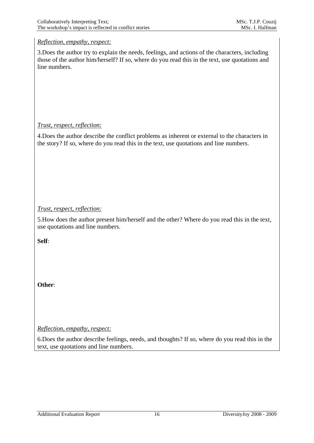## *Reflection, empathy, respect:*

3.Does the author try to explain the needs, feelings, and actions of the characters, including those of the author him/herself? If so, where do you read this in the text, use quotations and line numbers.

## *Trust, respect, reflection:*

4.Does the author describe the conflict problems as inherent or external to the characters in the story? If so, where do you read this in the text, use quotations and line numbers.

## *Trust, respect, reflection:*

5.How does the author present him/herself and the other? Where do you read this in the text, use quotations and line numbers.

**Self**:

**Other**:

*Reflection, empathy, respect:*

6.Does the author describe feelings, needs, and thoughts? If so, where do you read this in the text, use quotations and line numbers.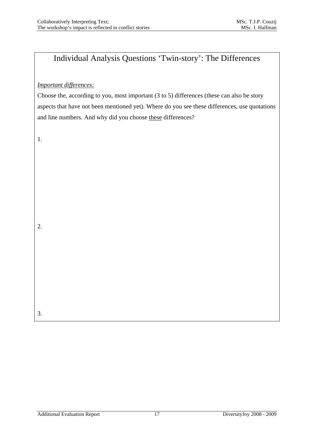## Individual Analysis Questions 'Twin-story': The Differences

## *Important differences:*

Choose the, according to you, most important (3 to 5) differences (these can also be story aspects that have not been mentioned yet). Where do you see these differences, use quotations and line numbers. And why did you choose these differences?

1.

2.

3.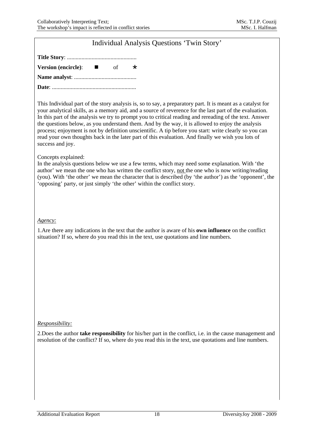| Individual Analysis Questions 'Twin Story'                                                                                                                                                              |  |         |                                                                                                                                                                                                                                                                                                                                                                                                                                                                                                                                                                                                                                                      |  |
|---------------------------------------------------------------------------------------------------------------------------------------------------------------------------------------------------------|--|---------|------------------------------------------------------------------------------------------------------------------------------------------------------------------------------------------------------------------------------------------------------------------------------------------------------------------------------------------------------------------------------------------------------------------------------------------------------------------------------------------------------------------------------------------------------------------------------------------------------------------------------------------------------|--|
|                                                                                                                                                                                                         |  |         |                                                                                                                                                                                                                                                                                                                                                                                                                                                                                                                                                                                                                                                      |  |
| <b>Version (encircle):</b> $\blacksquare$ of                                                                                                                                                            |  | $\star$ |                                                                                                                                                                                                                                                                                                                                                                                                                                                                                                                                                                                                                                                      |  |
|                                                                                                                                                                                                         |  |         |                                                                                                                                                                                                                                                                                                                                                                                                                                                                                                                                                                                                                                                      |  |
|                                                                                                                                                                                                         |  |         |                                                                                                                                                                                                                                                                                                                                                                                                                                                                                                                                                                                                                                                      |  |
| success and joy.                                                                                                                                                                                        |  |         | This Individual part of the story analysis is, so to say, a preparatory part. It is meant as a catalyst for<br>your analytical skills, as a memory aid, and a source of reverence for the last part of the evaluation.<br>In this part of the analysis we try to prompt you to critical reading and rereading of the text. Answer<br>the questions below, as you understand them. And by the way, it is allowed to enjoy the analysis<br>process; enjoyment is not by definition unscientific. A tip before you start: write clearly so you can<br>read your own thoughts back in the later part of this evaluation. And finally we wish you lots of |  |
| Concepts explained:<br>'opposing' party, or just simply 'the other' within the conflict story.                                                                                                          |  |         | In the analysis questions below we use a few terms, which may need some explanation. With 'the<br>author' we mean the one who has written the conflict story, not the one who is now writing/reading<br>(you). With 'the other' we mean the character that is described (by 'the author') as the 'opponent', the                                                                                                                                                                                                                                                                                                                                     |  |
| <u>Agency:</u>                                                                                                                                                                                          |  |         |                                                                                                                                                                                                                                                                                                                                                                                                                                                                                                                                                                                                                                                      |  |
| 1. Are there any indications in the text that the author is aware of his <b>own influence</b> on the conflict<br>situation? If so, where do you read this in the text, use quotations and line numbers. |  |         |                                                                                                                                                                                                                                                                                                                                                                                                                                                                                                                                                                                                                                                      |  |
|                                                                                                                                                                                                         |  |         |                                                                                                                                                                                                                                                                                                                                                                                                                                                                                                                                                                                                                                                      |  |
| Responsibility:                                                                                                                                                                                         |  |         |                                                                                                                                                                                                                                                                                                                                                                                                                                                                                                                                                                                                                                                      |  |
|                                                                                                                                                                                                         |  |         | 2. Does the author take responsibility for his/her part in the conflict, i.e. in the cause management and<br>resolution of the conflict? If so, where do you read this in the text, use quotations and line numbers.                                                                                                                                                                                                                                                                                                                                                                                                                                 |  |
|                                                                                                                                                                                                         |  |         |                                                                                                                                                                                                                                                                                                                                                                                                                                                                                                                                                                                                                                                      |  |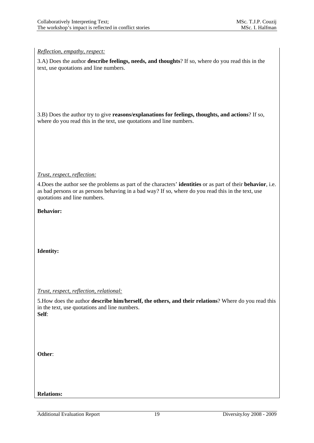*Reflection, empathy, respect:*

3.A) Does the author **describe feelings, needs, and thoughts**? If so, where do you read this in the text, use quotations and line numbers.

3.B) Does the author try to give **reasons/explanations for feelings, thoughts, and actions**? If so, where do you read this in the text, use quotations and line numbers.

*Trust, respect, reflection:*

4.Does the author see the problems as part of the characters' **identities** or as part of their **behavior**, i.e. as bad persons or as persons behaving in a bad way? If so, where do you read this in the text, use quotations and line numbers.

**Behavior:** 

**Identity:** 

*Trust, respect, reflection, relational:*

5.How does the author **describe him/herself, the others, and their relations**? Where do you read this in the text, use quotations and line numbers. **Self**:

**Other**:

**Relations:**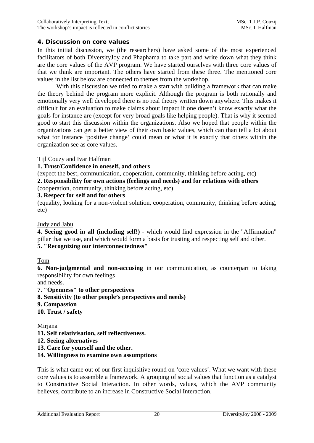## <span id="page-53-0"></span>**4. Discussion on core values**

In this initial discussion, we (the researchers) have asked some of the most experienced facilitators of both DiversityJoy and Phaphama to take part and write down what they think are the core values of the AVP program. We have started ourselves with three core values of that we think are important. The others have started from these three. The mentioned core values in the list below are connected to themes from the workshop.

With this discussion we tried to make a start with building a framework that can make the theory behind the program more explicit. Although the program is both rationally and emotionally very well developed there is no real theory written down anywhere. This makes it difficult for an evaluation to make claims about impact if one doesn't know exactly what the goals for instance are (except for very broad goals like helping people). That is why it seemed good to start this discussion within the organizations. Also we hoped that people within the organizations can get a better view of their own basic values, which can than tell a lot about what for instance 'positive change' could mean or what it is exactly that others within the organization see as core values.

### Tijl Couzy and Ivar Halfman

### **1. Trust/Confidence in oneself, and others**

(expect the best, communication, cooperation, community, thinking before acting, etc)

**2. Responsibility for own actions (feelings and needs) and for relations with others**  (cooperation, community, thinking before acting, etc)

## **3. Respect for self and for others**

(equality, looking for a non-violent solution, cooperation, community, thinking before acting, etc)

## Judy and Jabu

**4. Seeing good in all (including self!)** - which would find expression in the "Affirmation" pillar that we use, and which would form a basis for trusting and respecting self and other. **5. "Recognizing our interconnectedness"** 

## Tom

**6. Non-judgmental and non-accusing** in our communication, as counterpart to taking responsibility for own feelings

and needs.

- **7. "Openness" to other perspectives**
- **8. Sensitivity (to other people's perspectives and needs)**
- **9. Compassion**
- **10. Trust / safety**

### Mirjana

- **11. Self relativisation, self reflectiveness.**
- **12. Seeing alternatives**
- **13. Care for yourself and the other.**
- **14. Willingness to examine own assumptions**

This is what came out of our first inquisitive round on 'core values'. What we want with these core values is to assemble a framework. A grouping of social values that function as a catalyst to Constructive Social Interaction. In other words, values, which the AVP community believes, contribute to an increase in Constructive Social Interaction.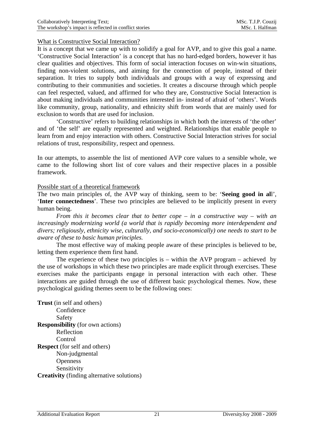## What is Constructive Social Interaction?

It is a concept that we came up with to solidify a goal for AVP, and to give this goal a name. 'Constructive Social Interaction' is a concept that has no hard-edged borders, however it has clear qualities and objectives. This form of social interaction focuses on win-win situations, finding non-violent solutions, and aiming for the connection of people, instead of their separation. It tries to supply both individuals and groups with a way of expressing and contributing to their communities and societies. It creates a discourse through which people can feel respected, valued, and affirmed for who they are, Constructive Social Interaction is about making individuals and communities interested in- instead of afraid of 'others'. Words like community, group, nationality, and ethnicity shift from words that are mainly used for exclusion to words that are used for inclusion.

'Constructive' refers to building relationships in which both the interests of 'the other' and of 'the self' are equally represented and weighted. Relationships that enable people to learn from and enjoy interaction with others. Constructive Social Interaction strives for social relations of trust, responsibility, respect and openness.

In our attempts, to assemble the list of mentioned AVP core values to a sensible whole, we came to the following short list of core values and their respective places in a possible framework.

## Possible start of a theoretical framework

The two main principles of, the AVP way of thinking, seem to be: '**Seeing good in al**l', '**Inter connectedness**'. These two principles are believed to be implicitly present in every human being.

*From this it becomes clear that to better cope – in a constructive way – with an increasingly modernizing world (a world that is rapidly becoming more interdependent and divers; religiously, ethnicity wise, culturally, and socio-economically) one needs to start to be aware of these to basic human principles.* 

The most effective way of making people aware of these principles is believed to be, letting them experience them first hand.

The experience of these two principles is – within the AVP program – achieved by the use of workshops in which these two principles are made explicit through exercises. These exercises make the participants engage in personal interaction with each other. These interactions are guided through the use of different basic psychological themes. Now, these psychological guiding themes seem to be the following ones:

**Trust** (in self and others) Confidence Safety **Responsibility** (for own actions) Reflection Control **Respect** (for self and others) Non-judgmental **Openness**  Sensitivity **Creativity** (finding alternative solutions)